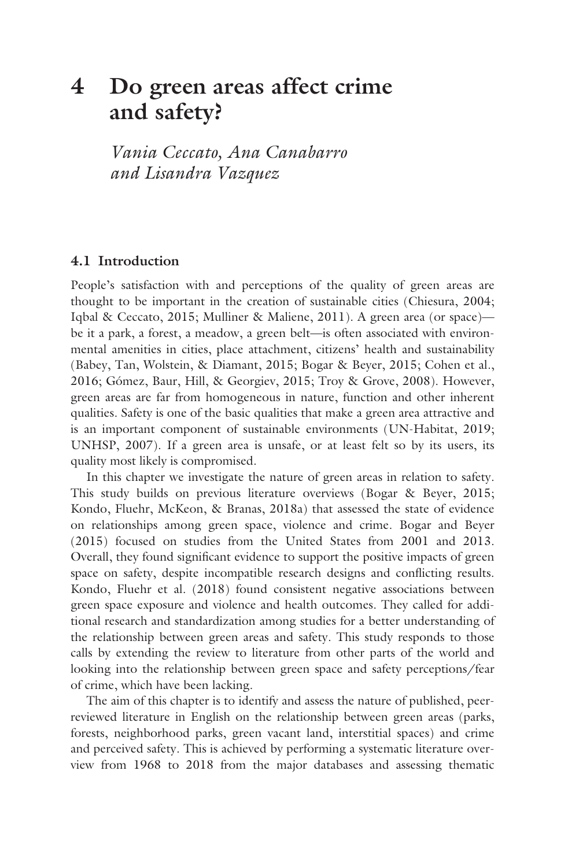# **4 [Do green areas affect crime](#page--1-0)  and safety?**

*Vania Ceccato, Ana Canabarro and Lisandra Vazquez*

#### **4.1 Introduction**

People's satisfaction with and perceptions of the quality of green areas are thought to be important in the creation of sustainable cities (Chiesura, 2004; Iqbal & Ceccato, 2015; Mulliner & Maliene, 2011). A green area (or space) be it a park, a forest, a meadow, a green belt—is often associated with environmental amenities in cities, place attachment, citizens' health and sustainability (Babey, Tan, Wolstein, & Diamant, 2015; Bogar & Beyer, 2015; Cohen et al., 2016; Gómez, Baur, Hill, & Georgiev, 2015; Troy & Grove, 2008). However, green areas are far from homogeneous in nature, function and other inherent qualities. Safety is one of the basic qualities that make a green area attractive and is an important component of sustainable environments (UN-Habitat, 2019; UNHSP, 2007). If a green area is unsafe, or at least felt so by its users, its quality most likely is compromised.

In this chapter we investigate the nature of green areas in relation to safety. This study builds on previous literature overviews (Bogar & Beyer, 2015; Kondo, Fluehr, McKeon, & Branas, 2018a) that assessed the state of evidence on relationships among green space, violence and crime. Bogar and Beyer (2015) focused on studies from the United States from 2001 and 2013. Overall, they found significant evidence to support the positive impacts of green space on safety, despite incompatible research designs and conflicting results. Kondo, Fluehr et al. (2018) found consistent negative associations between green space exposure and violence and health outcomes. They called for additional research and standardization among studies for a better understanding of the relationship between green areas and safety. This study responds to those calls by extending the review to literature from other parts of the world and looking into the relationship between green space and safety perceptions/fear of crime, which have been lacking.

The aim of this chapter is to identify and assess the nature of published, peerreviewed literature in English on the relationship between green areas (parks, forests, neighborhood parks, green vacant land, interstitial spaces) and crime and perceived safety. This is achieved by performing a systematic literature overview from 1968 to 2018 from the major databases and assessing thematic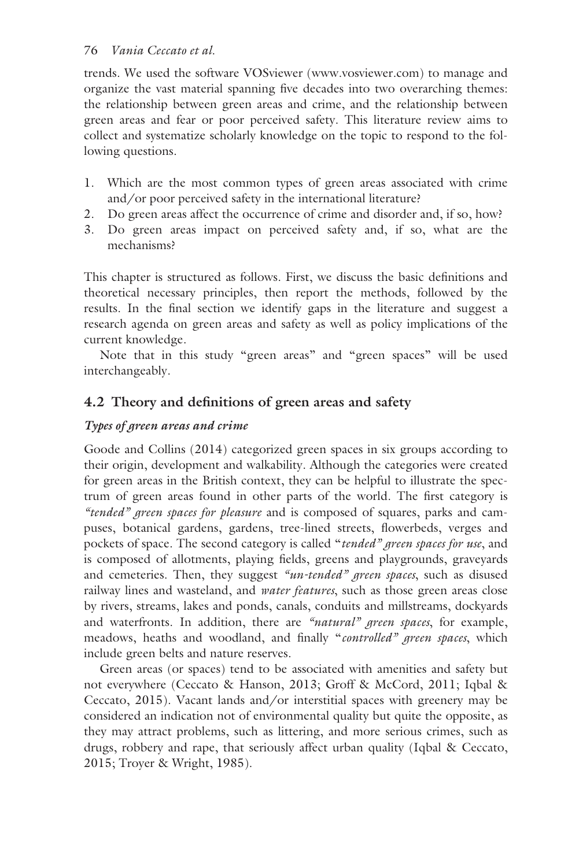# 76 *Vania Ceccato et al.*

trends. We used the software VOSviewer [\(www.vosviewer.com\)](www.vosviewer.com) to manage and organize the vast material spanning five decades into two overarching themes: the relationship between green areas and crime, and the relationship between green areas and fear or poor perceived safety. This literature review aims to collect and systematize scholarly knowledge on the topic to respond to the following questions.

- 1. Which are the most common types of green areas associated with crime and/or poor perceived safety in the international literature?
- 2. Do green areas affect the occurrence of crime and disorder and, if so, how?
- 3. Do green areas impact on perceived safety and, if so, what are the mechanisms?

This chapter is structured as follows. First, we discuss the basic definitions and theoretical necessary principles, then report the methods, followed by the results. In the final section we identify gaps in the literature and suggest a research agenda on green areas and safety as well as policy implications of the current knowledge.

Note that in this study "green areas" and "green spaces" will be used interchangeably.

# **4.2 Theory and definitions of green areas and safety**

# *Types of green areas and crime*

Goode and Collins (2014) categorized green spaces in six groups according to their origin, development and walkability. Although the categories were created for green areas in the British context, they can be helpful to illustrate the spectrum of green areas found in other parts of the world. The first category is *"tended" green spaces for pleasure* and is composed of squares, parks and campuses, botanical gardens, gardens, tree-lined streets, flowerbeds, verges and pockets of space. The second category is called "*tended" green spaces for use*, and is composed of allotments, playing fields, greens and playgrounds, graveyards and cemeteries. Then, they suggest *"un-tended" green spaces*, such as disused railway lines and wasteland, and *water features*, such as those green areas close by rivers, streams, lakes and ponds, canals, conduits and millstreams, dockyards and waterfronts. In addition, there are *"natural" green spaces*, for example, meadows, heaths and woodland, and finally "*controlled" green spaces*, which include green belts and nature reserves.

Green areas (or spaces) tend to be associated with amenities and safety but not everywhere (Ceccato & Hanson, 2013; Groff & McCord, 2011; Iqbal & Ceccato, 2015). Vacant lands and/or interstitial spaces with greenery may be considered an indication not of environmental quality but quite the opposite, as they may attract problems, such as littering, and more serious crimes, such as drugs, robbery and rape, that seriously affect urban quality (Iqbal & Ceccato, 2015; Troyer & Wright, 1985).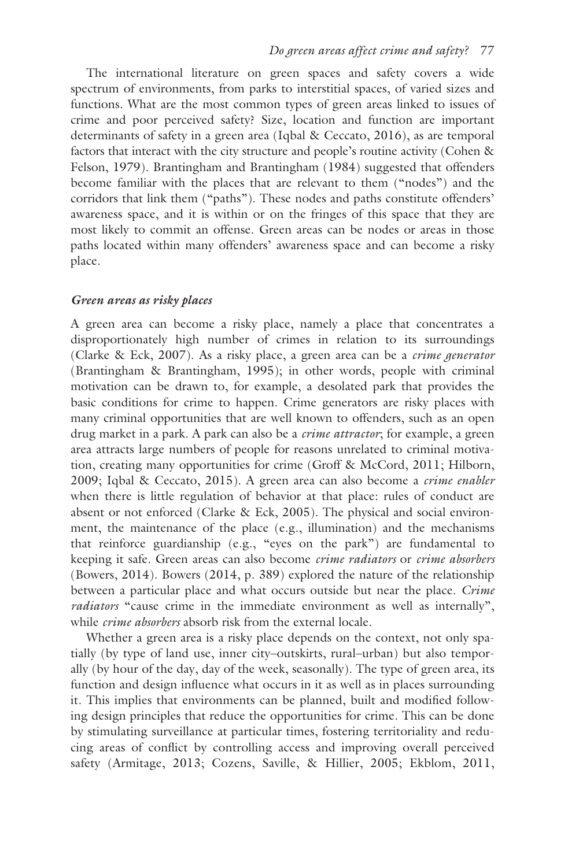The international literature on green spaces and safety covers a wide spectrum of environments, from parks to interstitial spaces, of varied sizes and functions. What are the most common types of green areas linked to issues of crime and poor perceived safety? Size, location and function are important determinants of safety in a green area (Iqbal & Ceccato, 2016), as are temporal factors that interact with the city structure and people's routine activity (Cohen & Felson, 1979). Brantingham and Brantingham (1984) suggested that offenders become familiar with the places that are relevant to them ("nodes") and the corridors that link them ("paths"). These nodes and paths constitute offenders' awareness space, and it is within or on the fringes of this space that they are most likely to commit an offense. Green areas can be nodes or areas in those paths located within many offenders' awareness space and can become a risky place.

#### *Green areas as risky places*

A green area can become a risky place, namely a place that concentrates a disproportionately high number of crimes in relation to its surroundings (Clarke & Eck, 2007). As a risky place, a green area can be a *crime generator* (Brantingham & Brantingham, 1995); in other words, people with criminal motivation can be drawn to, for example, a desolated park that provides the basic conditions for crime to happen. Crime generators are risky places with many criminal opportunities that are well known to offenders, such as an open drug market in a park. A park can also be a *crime attractor*; for example, a green area attracts large numbers of people for reasons unrelated to criminal motivation, creating many opportunities for crime (Groff & McCord, 2011; Hilborn, 2009; Iqbal & Ceccato, 2015). A green area can also become a *crime enabler* when there is little regulation of behavior at that place: rules of conduct are absent or not enforced (Clarke & Eck, 2005). The physical and social environment, the maintenance of the place (e.g., illumination) and the mechanisms that reinforce guardianship (e.g., "eyes on the park") are fundamental to keeping it safe. Green areas can also become *crime radiators* or *crime absorbers* (Bowers, 2014). Bowers (2014, p. 389) explored the nature of the relationship between a particular place and what occurs outside but near the place. *Crime radiators* "cause crime in the immediate environment as well as internally", while *crime absorbers* absorb risk from the external locale.

Whether a green area is a risky place depends on the context, not only spatially (by type of land use, inner city–outskirts, rural–urban) but also temporally (by hour of the day, day of the week, seasonally). The type of green area, its function and design influence what occurs in it as well as in places surrounding it. This implies that environments can be planned, built and modified following design principles that reduce the opportunities for crime. This can be done by stimulating surveillance at particular times, fostering territoriality and reducing areas of conflict by controlling access and improving overall perceived safety (Armitage, 2013; Cozens, Saville, & Hillier, 2005; Ekblom, 2011,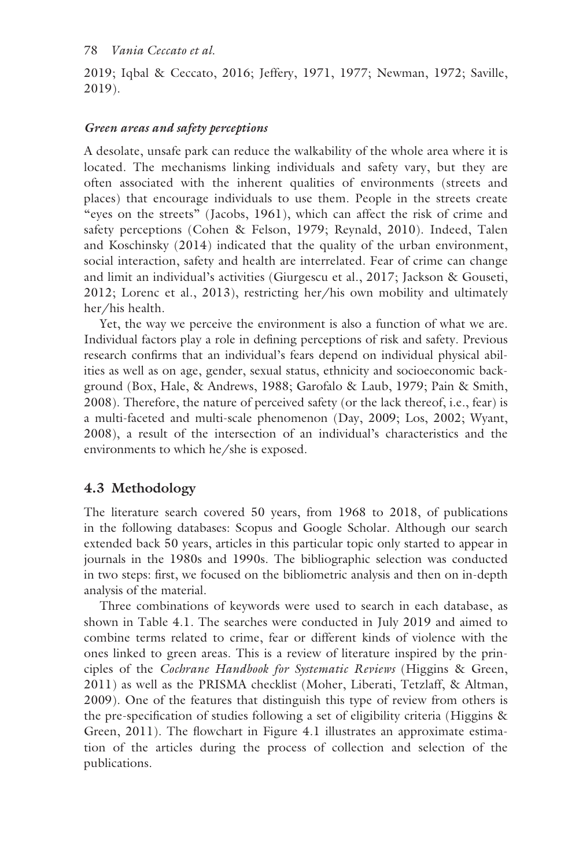2019; Iqbal & Ceccato, 2016; Jeffery, 1971, 1977; Newman, 1972; Saville, 2019).

# *Green areas and safety perceptions*

A desolate, unsafe park can reduce the walkability of the whole area where it is located. The mechanisms linking individuals and safety vary, but they are often associated with the inherent qualities of environments (streets and places) that encourage individuals to use them. People in the streets create "eyes on the streets" (Jacobs, 1961), which can affect the risk of crime and safety perceptions (Cohen & Felson, 1979; Reynald, 2010). Indeed, Talen and Koschinsky (2014) indicated that the quality of the urban environment, social interaction, safety and health are interrelated. Fear of crime can change and limit an individual's activities (Giurgescu et al., 2017; Jackson & Gouseti, 2012; Lorenc et al., 2013), restricting her/his own mobility and ultimately her/his health.

Yet, the way we perceive the environment is also a function of what we are. Individual factors play a role in defining perceptions of risk and safety. Previous research confirms that an individual's fears depend on individual physical abilities as well as on age, gender, sexual status, ethnicity and socioeconomic background (Box, Hale, & Andrews, 1988; Garofalo & Laub, 1979; Pain & Smith, 2008). Therefore, the nature of perceived safety (or the lack thereof, i.e., fear) is a multi-faceted and multi-scale phenomenon (Day, 2009; Los, 2002; Wyant, 2008), a result of the intersection of an individual's characteristics and the environments to which he/she is exposed.

# **4.3 Methodology**

The literature search covered 50 years, from 1968 to 2018, of publications in the following databases: Scopus and Google Scholar. Although our search extended back 50 years, articles in this particular topic only started to appear in journals in the 1980s and 1990s. The bibliographic selection was conducted in two steps: first, we focused on the bibliometric analysis and then on in-depth analysis of the material.

Three combinations of keywords were used to search in each database, as shown in [Table 4.1.](#page--1-0) The searches were conducted in July 2019 and aimed to combine terms related to crime, fear or different kinds of violence with the ones linked to green areas. This is a review of literature inspired by the principles of the *Cochrane Handbook for Systematic Reviews* (Higgins & Green, 2011) as well as the PRISMA checklist (Moher, Liberati, Tetzlaff, & Altman, 2009). One of the features that distinguish this type of review from others is the pre-specification of studies following a set of eligibility criteria (Higgins & Green, 2011). The flowchart in [Figure 4.1](#page--1-0) illustrates an approximate estimation of the articles during the process of collection and selection of the publications.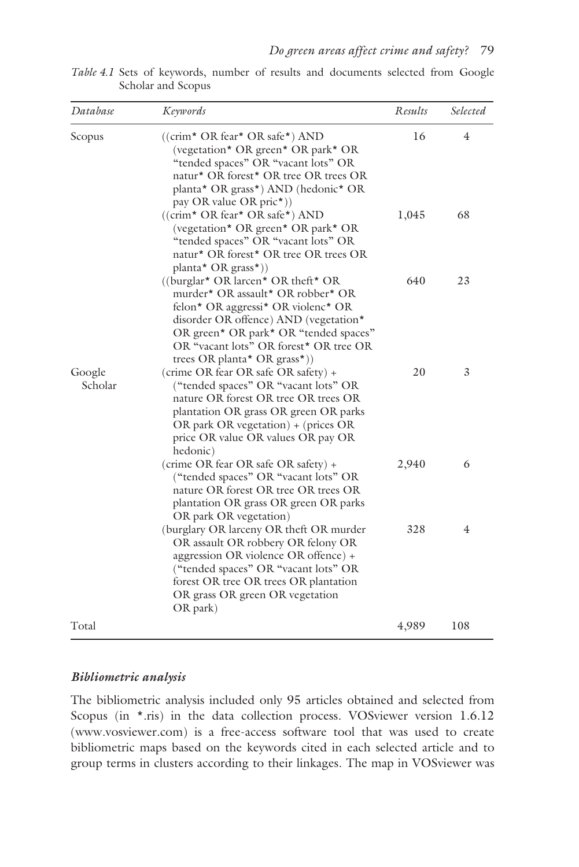| Database          | <b>Keywords</b>                                                                                                                                                                                                                                                                                               | Results | Selected |
|-------------------|---------------------------------------------------------------------------------------------------------------------------------------------------------------------------------------------------------------------------------------------------------------------------------------------------------------|---------|----------|
| Scopus            | $((\text{crim* OR fear* OR safe*) AND})$<br>(vegetation* OR green* OR park* OR<br>"tended spaces" OR "vacant lots" OR<br>natur* OR forest* OR tree OR trees OR<br>planta* OR grass*) AND (hedonic* OR<br>pay OR value OR pric <sup>*</sup> ))                                                                 | 16      | 4        |
|                   | $((\text{crim* OR fear* OR safe*) AND})$<br>(vegetation* OR green* OR park* OR<br>"tended spaces" OR "vacant lots" OR<br>natur* OR forest* OR tree OR trees OR<br>planta* OR grass*))                                                                                                                         | 1,045   | 68       |
|                   | ((burglar <sup>*</sup> OR larcen <sup>*</sup> OR theft <sup>*</sup> OR<br>murder* OR assault* OR robber* OR<br>felon* OR aggressi* OR violenc* OR<br>disorder OR offence) AND (vegetation*<br>OR green* OR park* OR "tended spaces"<br>OR "vacant lots" OR forest* OR tree OR<br>trees OR planta* OR grass*)) | 640     | 23       |
| Google<br>Scholar | (crime OR fear OR safe OR safety) +<br>("tended spaces" OR "vacant lots" OR<br>nature OR forest OR tree OR trees OR<br>plantation OR grass OR green OR parks<br>OR park OR vegetation) + (prices OR<br>price OR value OR values OR pay OR<br>hedonic)                                                         | 20      | 3        |
|                   | (crime OR fear OR safe OR safety) +<br>("tended spaces" OR "vacant lots" OR<br>nature OR forest OR tree OR trees OR<br>plantation OR grass OR green OR parks<br>OR park OR vegetation)                                                                                                                        | 2,940   | 6        |
|                   | (burglary OR larceny OR theft OR murder)<br>OR assault OR robbery OR felony OR<br>aggression OR violence OR offence) +<br>("tended spaces" OR "vacant lots" OR<br>forest OR tree OR trees OR plantation<br>OR grass OR green OR vegetation<br>OR park)                                                        | 328     | 4        |
| Total             |                                                                                                                                                                                                                                                                                                               | 4,989   | 108      |

*[Table 4.1](#page--1-0)* Sets of keywords, number of results and documents selected from Google Scholar and Scopus

#### *Bibliometric analysis*

The bibliometric analysis included only 95 articles obtained and selected from Scopus (in \*.ris) in the data collection process. VOSviewer version 1.6.12 [\(www.vosviewer.com\)](www.vosviewer.com) is a free-access software tool that was used to create bibliometric maps based on the keywords cited in each selected article and to group terms in clusters according to their linkages. The map in VOSviewer was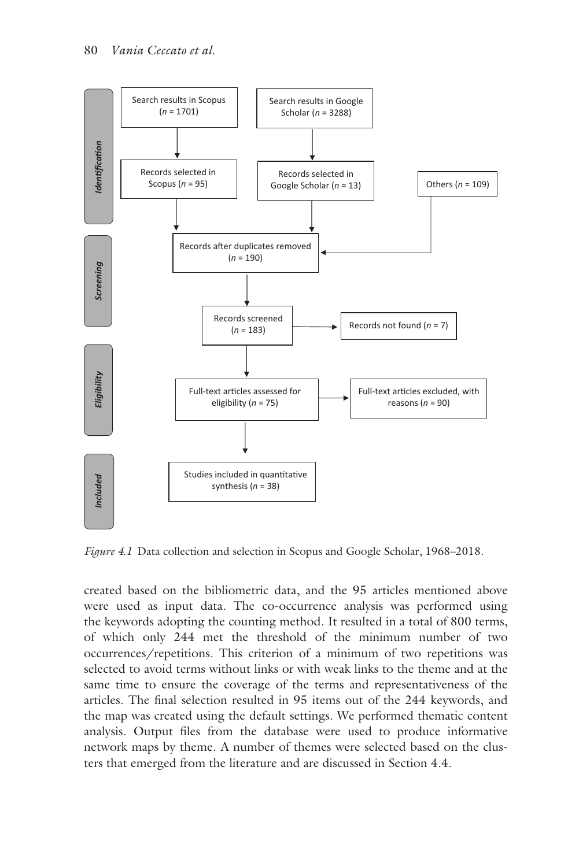

*[Figure 4.1](#page--1-0)* Data collection and selection in Scopus and Google Scholar, 1968–2018.

created based on the bibliometric data, and the 95 articles mentioned above were used as input data. The co-occurrence analysis was performed using the keywords adopting the counting method. It resulted in a total of 800 terms, of which only 244 met the threshold of the minimum number of two occurrences/repetitions. This criterion of a minimum of two repetitions was selected to avoid terms without links or with weak links to the theme and at the same time to ensure the coverage of the terms and representativeness of the articles. The final selection resulted in 95 items out of the 244 keywords, and the map was created using the default settings. We performed thematic content analysis. Output files from the database were used to produce informative network maps by theme. A number of themes were selected based on the clusters that emerged from the literature and are discussed in Section 4.4.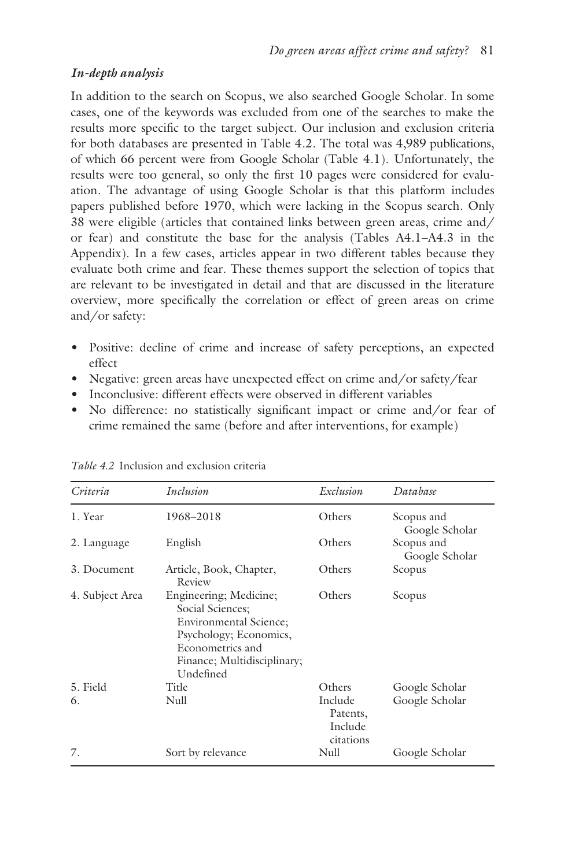# *In-depth analysis*

In addition to the search on Scopus, we also searched Google Scholar. In some cases, one of the keywords was excluded from one of the searches to make the results more specific to the target subject. Our inclusion and exclusion criteria for both databases are presented in [Table 4.2.](#page--1-0) The total was 4,989 publications, of which 66 percent were from Google Scholar [\(Table 4.1\)](#page--1-0). Unfortunately, the results were too general, so only the first 10 pages were considered for evaluation. The advantage of using Google Scholar is that this platform includes papers published before 1970, which were lacking in the Scopus search. Only 38 were eligible (articles that contained links between green areas, crime and/ or fear) and constitute the base for the analysis [\(Tables A4.1–A4.3](#page--1-0) in the Appendix). In a few cases, articles appear in two different tables because they evaluate both crime and fear. These themes support the selection of topics that are relevant to be investigated in detail and that are discussed in the literature overview, more specifically the correlation or effect of green areas on crime and/or safety:

- • Positive: decline of crime and increase of safety perceptions, an expected effect
- Negative: green areas have unexpected effect on crime and/or safety/fear
- Inconclusive: different effects were observed in different variables
- No difference: no statistically significant impact or crime and/or fear of crime remained the same (before and after interventions, for example)

| Criteria        | Inclusion                                                                                                                                                             | Exclusion                                   | Database                     |
|-----------------|-----------------------------------------------------------------------------------------------------------------------------------------------------------------------|---------------------------------------------|------------------------------|
| 1. Year         | 1968-2018                                                                                                                                                             | Others                                      | Scopus and<br>Google Scholar |
| 2. Language     | English                                                                                                                                                               | Others                                      | Scopus and<br>Google Scholar |
| 3. Document     | Article, Book, Chapter,<br>Review                                                                                                                                     | Others                                      | Scopus                       |
| 4. Subject Area | Engineering; Medicine;<br>Social Sciences;<br><b>Environmental Science;</b><br>Psychology; Economics,<br>Econometrics and<br>Finance; Multidisciplinary;<br>Undefined | Others                                      | Scopus                       |
| 5. Field        | Title                                                                                                                                                                 | Others                                      | Google Scholar               |
| 6.              | Null                                                                                                                                                                  | Include<br>Patents,<br>Include<br>citations | Google Scholar               |
| 7.              | Sort by relevance                                                                                                                                                     | Null                                        | Google Scholar               |

*[Table 4.2](#page--1-0)* Inclusion and exclusion criteria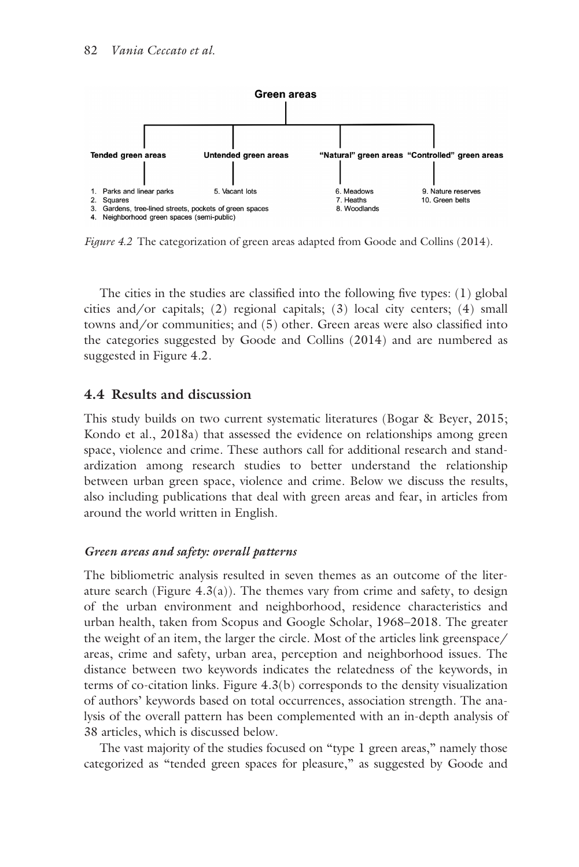

*[Figure 4.2](#page--1-0)* The categorization of green areas adapted from Goode and Collins (2014).

The cities in the studies are classified into the following five types: (1) global cities and/or capitals; (2) regional capitals; (3) local city centers; (4) small towns and/or communities; and (5) other. Green areas were also classified into the categories suggested by Goode and Collins (2014) and are numbered as suggested in [Figure 4.2.](#page--1-0)

## **4.4 Results and discussion**

This study builds on two current systematic literatures (Bogar & Beyer, 2015; Kondo et al., 2018a) that assessed the evidence on relationships among green space, violence and crime. These authors call for additional research and standardization among research studies to better understand the relationship between urban green space, violence and crime. Below we discuss the results, also including publications that deal with green areas and fear, in articles from around the world written in English.

#### *Green areas and safety: overall patterns*

The bibliometric analysis resulted in seven themes as an outcome of the literature search (Figure  $4.3(a)$ ). The themes vary from crime and safety, to design of the urban environment and neighborhood, residence characteristics and urban health, taken from Scopus and Google Scholar, 1968–2018. The greater the weight of an item, the larger the circle. Most of the articles link greenspace/ areas, crime and safety, urban area, perception and neighborhood issues. The distance between two keywords indicates the relatedness of the keywords, in terms of co-citation links. [Figure 4.3\(b\)](#page--1-0) corresponds to the density visualization of authors' keywords based on total occurrences, association strength. The analysis of the overall pattern has been complemented with an in-depth analysis of 38 articles, which is discussed below.

The vast majority of the studies focused on "type 1 green areas," namely those categorized as "tended green spaces for pleasure," as suggested by Goode and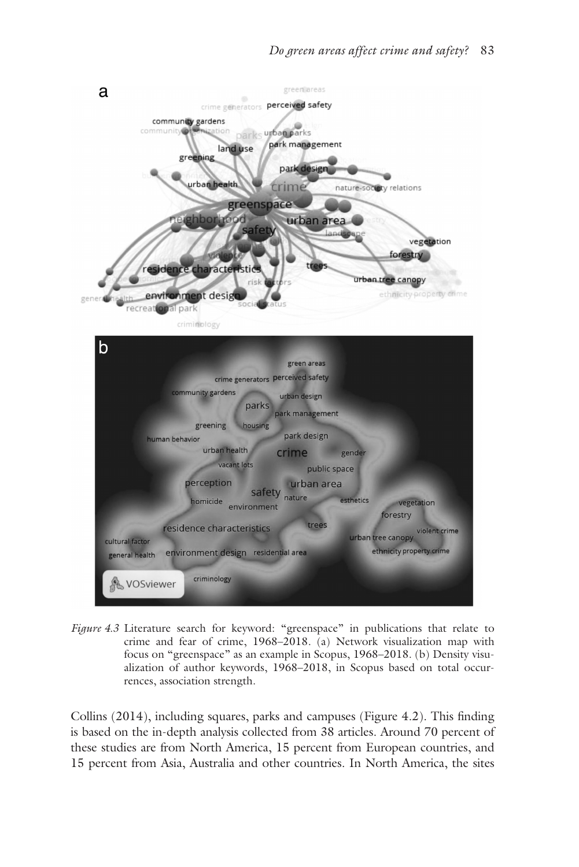

*[Figure 4.3](#page--1-0)* Literature search for keyword: "greenspace" in publications that relate to crime and fear of crime, 1968–2018. (a) Network visualization map with focus on "greenspace" as an example in Scopus, 1968–2018. (b) Density visualization of author keywords, 1968–2018, in Scopus based on total occurrences, association strength.

Collins (2014), including squares, parks and campuses [\(Figure 4.2\).](#page--1-0) This finding is based on the in-depth analysis collected from 38 articles. Around 70 percent of these studies are from North America, 15 percent from European countries, and 15 percent from Asia, Australia and other countries. In North America, the sites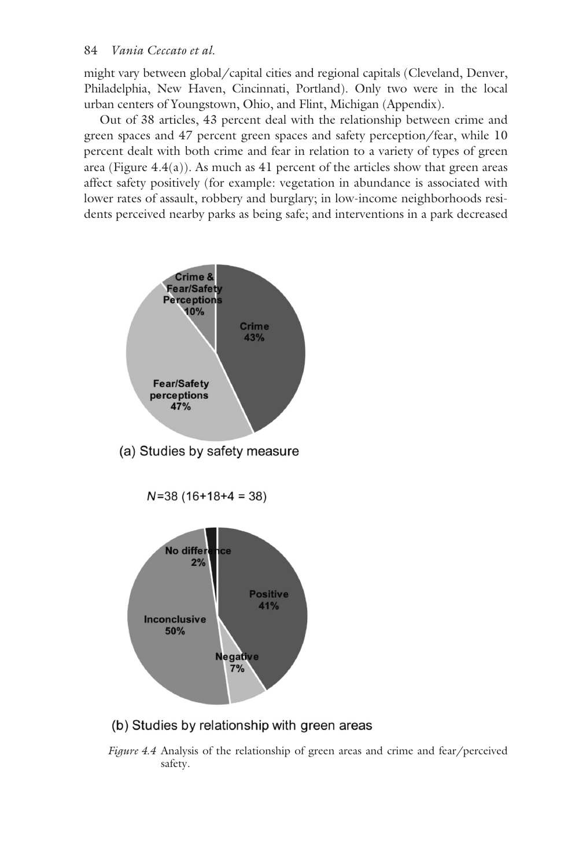might vary between global/capital cities and regional capitals (Cleveland, Denver, Philadelphia, New Haven, Cincinnati, Portland). Only two were in the local urban centers of Youngstown, Ohio, and Flint, Michigan (Appendix).

Out of 38 articles, 43 percent deal with the relationship between crime and green spaces and 47 percent green spaces and safety perception/fear, while 10 percent dealt with both crime and fear in relation to a variety of types of green area [\(Figure 4.4\(a\)\)](#page--1-0). As much as 41 percent of the articles show that green areas affect safety positively (for example: vegetation in abundance is associated with lower rates of assault, robbery and burglary; in low-income neighborhoods residents perceived nearby parks as being safe; and interventions in a park decreased



(a) Studies by safety measure

 $N=38(16+18+4=38)$ 



(b) Studies by relationship with green areas

*[Figure 4.4](#page--1-0)* Analysis of the relationship of green areas and crime and fear/perceived safety.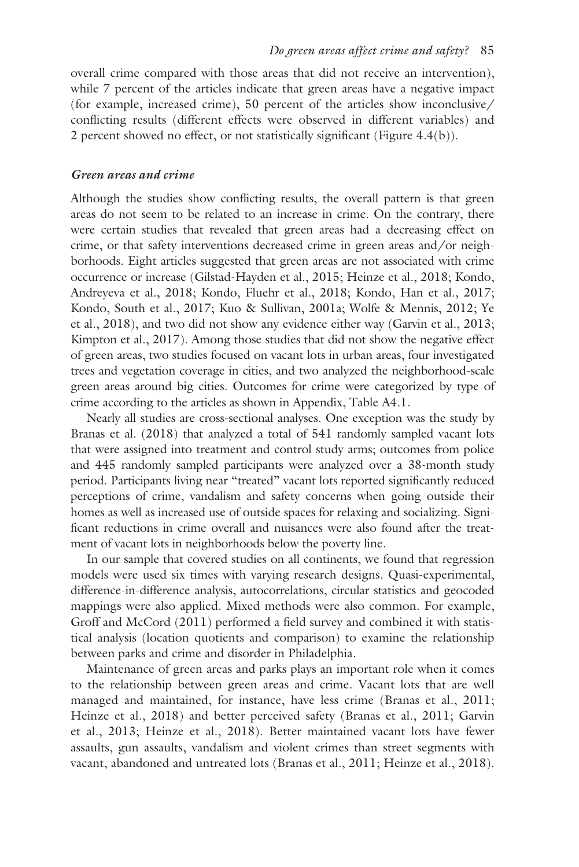overall crime compared with those areas that did not receive an intervention), while 7 percent of the articles indicate that green areas have a negative impact (for example, increased crime), 50 percent of the articles show inconclusive/ conflicting results (different effects were observed in different variables) and 2 percent showed no effect, or not statistically significant [\(Figure 4.4\(b\)\).](#page--1-0)

#### *Green areas and crime*

Although the studies show conflicting results, the overall pattern is that green areas do not seem to be related to an increase in crime. On the contrary, there were certain studies that revealed that green areas had a decreasing effect on crime, or that safety interventions decreased crime in green areas and/or neighborhoods. Eight articles suggested that green areas are not associated with crime occurrence or increase (Gilstad-Hayden et al., 2015; Heinze et al., 2018; Kondo, Andreyeva et al., 2018; Kondo, Fluehr et al., 2018; Kondo, Han et al., 2017; Kondo, South et al., 2017; Kuo & Sullivan, 2001a; Wolfe & Mennis, 2012; Ye et al., 2018), and two did not show any evidence either way (Garvin et al., 2013; Kimpton et al., 2017). Among those studies that did not show the negative effect of green areas, two studies focused on vacant lots in urban areas, four investigated trees and vegetation coverage in cities, and two analyzed the neighborhood-scale green areas around big cities. Outcomes for crime were categorized by type of crime according to the articles as shown in Appendix, [Table A4.1.](#page--1-0)

Nearly all studies are cross-sectional analyses. One exception was the study by Branas et al. (2018) that analyzed a total of 541 randomly sampled vacant lots that were assigned into treatment and control study arms; outcomes from police and 445 randomly sampled participants were analyzed over a 38-month study period. Participants living near "treated" vacant lots reported significantly reduced perceptions of crime, vandalism and safety concerns when going outside their homes as well as increased use of outside spaces for relaxing and socializing. Significant reductions in crime overall and nuisances were also found after the treatment of vacant lots in neighborhoods below the poverty line.

In our sample that covered studies on all continents, we found that regression models were used six times with varying research designs. Quasi-experimental, difference-in-difference analysis, autocorrelations, circular statistics and geocoded mappings were also applied. Mixed methods were also common. For example, Groff and McCord (2011) performed a field survey and combined it with statistical analysis (location quotients and comparison) to examine the relationship between parks and crime and disorder in Philadelphia.

Maintenance of green areas and parks plays an important role when it comes to the relationship between green areas and crime. Vacant lots that are well managed and maintained, for instance, have less crime (Branas et al., 2011; Heinze et al., 2018) and better perceived safety (Branas et al., 2011; Garvin et al., 2013; Heinze et al., 2018). Better maintained vacant lots have fewer assaults, gun assaults, vandalism and violent crimes than street segments with vacant, abandoned and untreated lots (Branas et al., 2011; Heinze et al., 2018).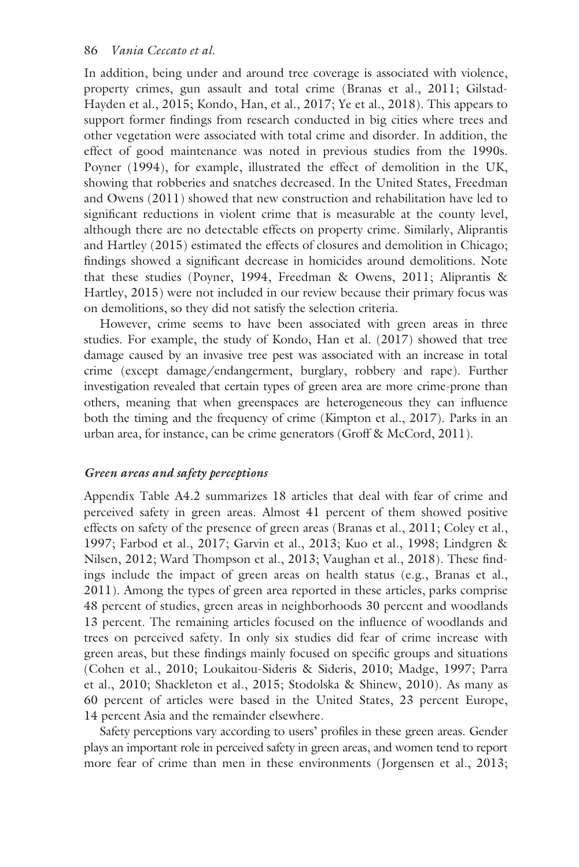In addition, being under and around tree coverage is associated with violence, property crimes, gun assault and total crime (Branas et al., 2011; Gilstad-Hayden et al., 2015; Kondo, Han, et al., 2017; Ye et al., 2018). This appears to support former findings from research conducted in big cities where trees and other vegetation were associated with total crime and disorder. In addition, the effect of good maintenance was noted in previous studies from the 1990s. Poyner (1994), for example, illustrated the effect of demolition in the UK, showing that robberies and snatches decreased. In the United States, Freedman and Owens (2011) showed that new construction and rehabilitation have led to significant reductions in violent crime that is measurable at the county level, although there are no detectable effects on property crime. Similarly, Aliprantis and Hartley (2015) estimated the effects of closures and demolition in Chicago; findings showed a significant decrease in homicides around demolitions. Note that these studies (Poyner, 1994, Freedman & Owens, 2011; Aliprantis & Hartley, 2015) were not included in our review because their primary focus was on demolitions, so they did not satisfy the selection criteria.

However, crime seems to have been associated with green areas in three studies. For example, the study of Kondo, Han et al. (2017) showed that tree damage caused by an invasive tree pest was associated with an increase in total crime (except damage/endangerment, burglary, robbery and rape). Further investigation revealed that certain types of green area are more crime-prone than others, meaning that when greenspaces are heterogeneous they can influence both the timing and the frequency of crime (Kimpton et al., 2017). Parks in an urban area, for instance, can be crime generators (Groff & McCord, 2011).

#### *Green areas and safety perceptions*

Appendix [Table A4.2](#page--1-0) summarizes 18 articles that deal with fear of crime and perceived safety in green areas. Almost 41 percent of them showed positive effects on safety of the presence of green areas (Branas et al., 2011; Coley et al., 1997; Farbod et al., 2017; Garvin et al., 2013; Kuo et al., 1998; Lindgren & Nilsen, 2012; Ward Thompson et al., 2013; Vaughan et al., 2018). These findings include the impact of green areas on health status (e.g., Branas et al., 2011). Among the types of green area reported in these articles, parks comprise 48 percent of studies, green areas in neighborhoods 30 percent and woodlands 13 percent. The remaining articles focused on the influence of woodlands and trees on perceived safety. In only six studies did fear of crime increase with green areas, but these findings mainly focused on specific groups and situations (Cohen et al., 2010; Loukaitou-Sideris & Sideris, 2010; Madge, 1997; Parra et al., 2010; Shackleton et al., 2015; Stodolska & Shinew, 2010). As many as 60 percent of articles were based in the United States, 23 percent Europe, 14 percent Asia and the remainder elsewhere.

Safety perceptions vary according to users' profiles in these green areas. Gender plays an important role in perceived safety in green areas, and women tend to report more fear of crime than men in these environments (Jorgensen et al., 2013;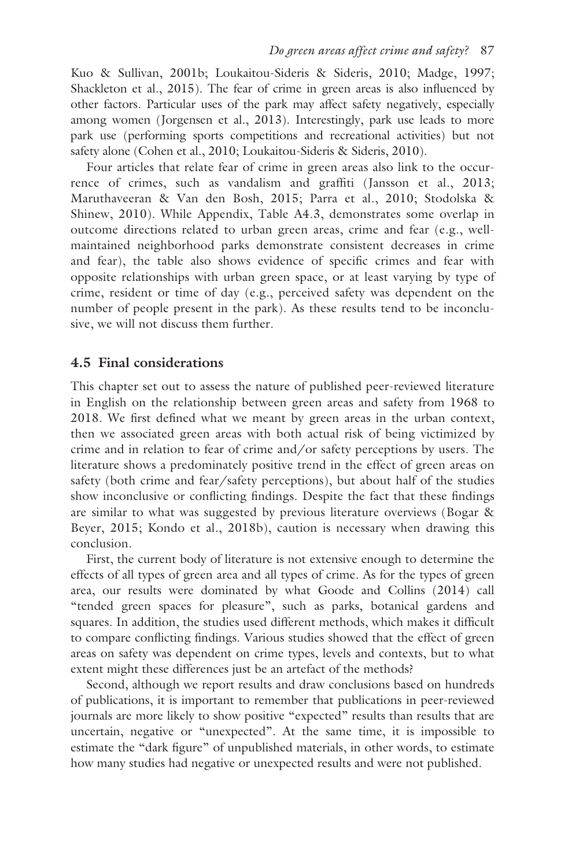Kuo & Sullivan, 2001b; Loukaitou-Sideris & Sideris, 2010; Madge, 1997; Shackleton et al., 2015). The fear of crime in green areas is also influenced by other factors. Particular uses of the park may affect safety negatively, especially among women (Jorgensen et al., 2013). Interestingly, park use leads to more park use (performing sports competitions and recreational activities) but not safety alone (Cohen et al., 2010; Loukaitou-Sideris & Sideris, 2010).

Four articles that relate fear of crime in green areas also link to the occurrence of crimes, such as vandalism and graffiti (Jansson et al., 2013; Maruthaveeran & Van den Bosh, 2015; Parra et al., 2010; Stodolska & Shinew, 2010). While Appendix, [Table A4.3,](#page--1-0) demonstrates some overlap in outcome directions related to urban green areas, crime and fear (e.g., wellmaintained neighborhood parks demonstrate consistent decreases in crime and fear), the table also shows evidence of specific crimes and fear with opposite relationships with urban green space, or at least varying by type of crime, resident or time of day (e.g., perceived safety was dependent on the number of people present in the park). As these results tend to be inconclusive, we will not discuss them further.

#### **4.5 Final considerations**

This chapter set out to assess the nature of published peer-reviewed literature in English on the relationship between green areas and safety from 1968 to 2018. We first defined what we meant by green areas in the urban context, then we associated green areas with both actual risk of being victimized by crime and in relation to fear of crime and/or safety perceptions by users. The literature shows a predominately positive trend in the effect of green areas on safety (both crime and fear/safety perceptions), but about half of the studies show inconclusive or conflicting findings. Despite the fact that these findings are similar to what was suggested by previous literature overviews (Bogar & Beyer, 2015; Kondo et al., 2018b), caution is necessary when drawing this conclusion.

First, the current body of literature is not extensive enough to determine the effects of all types of green area and all types of crime. As for the types of green area, our results were dominated by what Goode and Collins (2014) call "tended green spaces for pleasure", such as parks, botanical gardens and squares. In addition, the studies used different methods, which makes it difficult to compare conflicting findings. Various studies showed that the effect of green areas on safety was dependent on crime types, levels and contexts, but to what extent might these differences just be an artefact of the methods?

Second, although we report results and draw conclusions based on hundreds of publications, it is important to remember that publications in peer-reviewed journals are more likely to show positive "expected" results than results that are uncertain, negative or "unexpected". At the same time, it is impossible to estimate the "dark figure" of unpublished materials, in other words, to estimate how many studies had negative or unexpected results and were not published.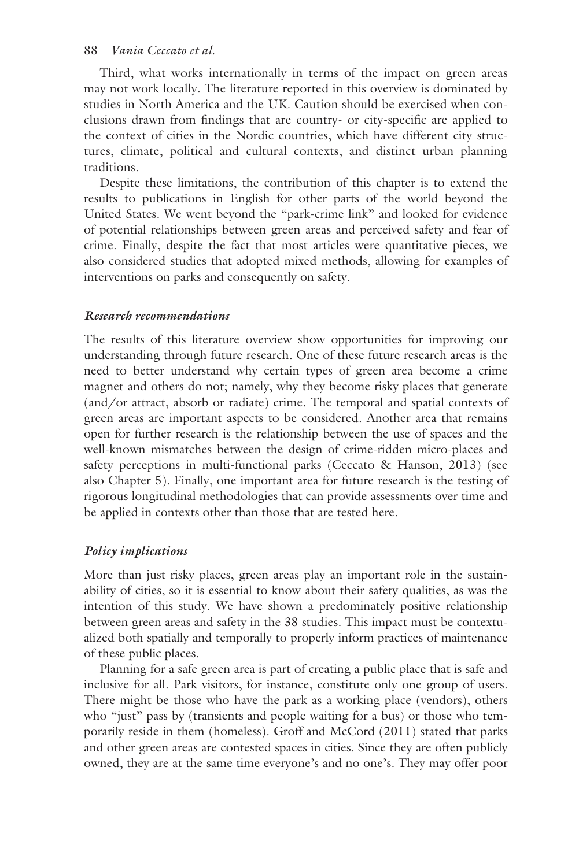#### 88 *Vania Ceccato et al.*

Third, what works internationally in terms of the impact on green areas may not work locally. The literature reported in this overview is dominated by studies in North America and the UK. Caution should be exercised when conclusions drawn from findings that are country- or city-specific are applied to the context of cities in the Nordic countries, which have different city structures, climate, political and cultural contexts, and distinct urban planning traditions.

Despite these limitations, the contribution of this chapter is to extend the results to publications in English for other parts of the world beyond the United States. We went beyond the "park-crime link" and looked for evidence of potential relationships between green areas and perceived safety and fear of crime. Finally, despite the fact that most articles were quantitative pieces, we also considered studies that adopted mixed methods, allowing for examples of interventions on parks and consequently on safety.

## *Research recommendations*

The results of this literature overview show opportunities for improving our understanding through future research. One of these future research areas is the need to better understand why certain types of green area become a crime magnet and others do not; namely, why they become risky places that generate (and/or attract, absorb or radiate) crime. The temporal and spatial contexts of green areas are important aspects to be considered. Another area that remains open for further research is the relationship between the use of spaces and the well-known mismatches between the design of crime-ridden micro-places and safety perceptions in multi-functional parks (Ceccato & Hanson, 2013) (see also [Chapter 5\)](#page--1-0). Finally, one important area for future research is the testing of rigorous longitudinal methodologies that can provide assessments over time and be applied in contexts other than those that are tested here.

## *Policy implications*

More than just risky places, green areas play an important role in the sustainability of cities, so it is essential to know about their safety qualities, as was the intention of this study. We have shown a predominately positive relationship between green areas and safety in the 38 studies. This impact must be contextualized both spatially and temporally to properly inform practices of maintenance of these public places.

Planning for a safe green area is part of creating a public place that is safe and inclusive for all. Park visitors, for instance, constitute only one group of users. There might be those who have the park as a working place (vendors), others who "just" pass by (transients and people waiting for a bus) or those who temporarily reside in them (homeless). Groff and McCord (2011) stated that parks and other green areas are contested spaces in cities. Since they are often publicly owned, they are at the same time everyone's and no one's. They may offer poor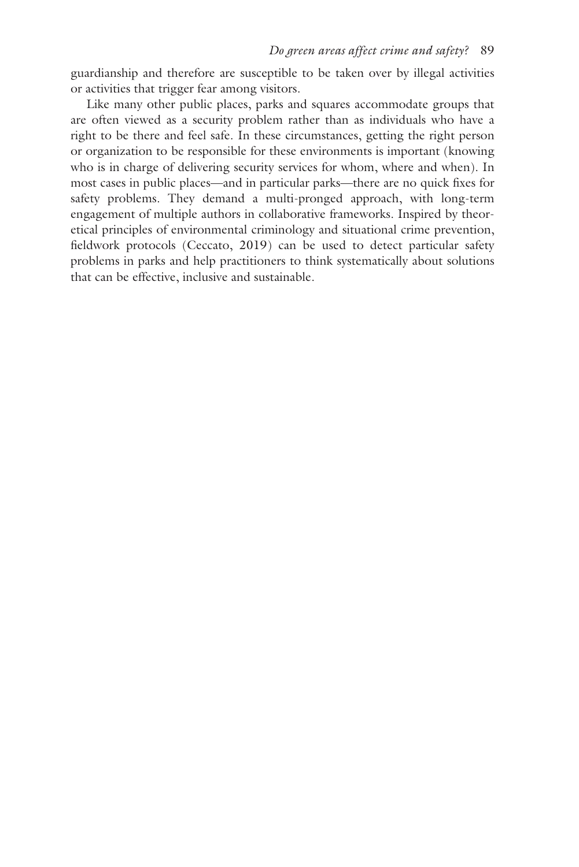guardianship and therefore are susceptible to be taken over by illegal activities or activities that trigger fear among visitors.

Like many other public places, parks and squares accommodate groups that are often viewed as a security problem rather than as individuals who have a right to be there and feel safe. In these circumstances, getting the right person or organization to be responsible for these environments is important (knowing who is in charge of delivering security services for whom, where and when). In most cases in public places—and in particular parks—there are no quick fixes for safety problems. They demand a multi-pronged approach, with long-term engagement of multiple authors in collaborative frameworks. Inspired by theoretical principles of environmental criminology and situational crime prevention, fieldwork protocols (Ceccato, 2019) can be used to detect particular safety problems in parks and help practitioners to think systematically about solutions that can be effective, inclusive and sustainable.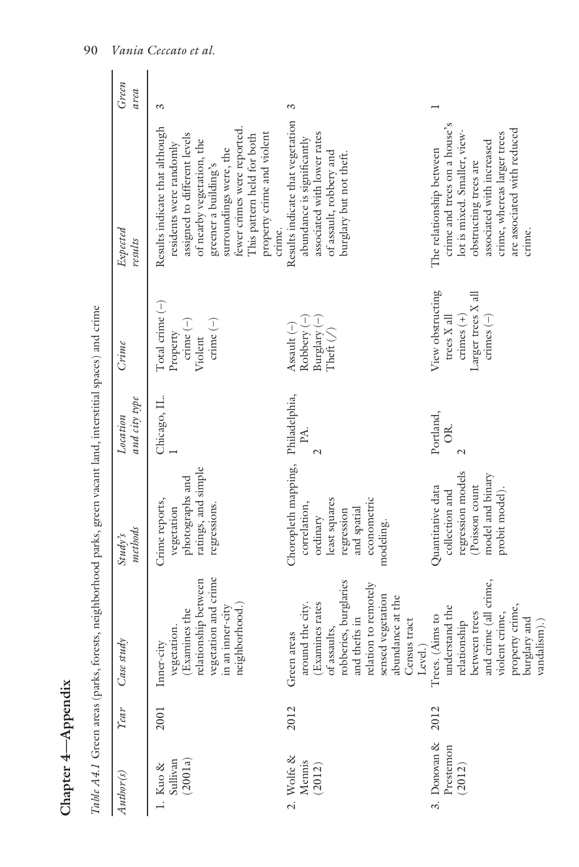|                                                                                                                                                                                                                 | Table A4.1 Green areas (parks, forests, neighborhood parks, green vacant land, interstitial spaces) and crime |                                                                                                                           |                           |                                                                                            |                                                                                                                                                                                                                                                                               |               |
|-----------------------------------------------------------------------------------------------------------------------------------------------------------------------------------------------------------------|---------------------------------------------------------------------------------------------------------------|---------------------------------------------------------------------------------------------------------------------------|---------------------------|--------------------------------------------------------------------------------------------|-------------------------------------------------------------------------------------------------------------------------------------------------------------------------------------------------------------------------------------------------------------------------------|---------------|
| Case study<br>Year                                                                                                                                                                                              |                                                                                                               | methods<br>Study's                                                                                                        | and city type<br>Location | $C$ rime                                                                                   | Expected<br>results                                                                                                                                                                                                                                                           | Green<br>area |
| vegetation and crime<br>relationship between<br>neighborhood.)<br>in an inner-city<br>(Examines the<br>vegetation.<br>Inner-city<br>2001                                                                        |                                                                                                               | ratings, and simple<br>photographs and<br>Crime reports,<br>regressions.<br>vegetation                                    | Chicago, IL.              | Total crime $(-)$<br>crime $(-)$<br>crime $(-)$<br>Property<br>Violent                     | Results indicate that although<br>fewer crimes were reported.<br>property crime and violent<br>assigned to different levels<br>This pattern held for both<br>of nearby vegetation, the<br>residents were randomly<br>surroundings were, the<br>greener a building's<br>crime. | S             |
| robberies, burglaries<br>relation to remotely<br>sensed vegetation<br>abundance at the<br>around the city.<br>(Examines rates<br>and thefts in<br>Census tract<br>of assaults,<br>Green areas<br>Level.<br>2012 |                                                                                                               | Choropleth mapping,<br>econometric<br>least squares<br>correlation,<br>and spatial<br>regression<br>ordinary<br>modeling. | Philadelphia,<br>PA.      | Robbery $(-)$<br>Burglary $(-)$<br>Assault $(-)$<br>Theft $($                              | Results indicate that vegetation<br>associated with lower rates<br>abundance is significantly<br>of assault, robbery and<br>burglary but not theft.                                                                                                                           | S             |
| and crime (all crime,<br>property crime,<br>understand the<br>between trees<br>violent crime,<br>Trees. (Aims to<br>burglary and<br>relationship<br>vandalism).<br>2012                                         |                                                                                                               | regression models<br>model and binary<br>Poisson count<br>Quantitative data<br>probit model).<br>collection and           | Portland,<br>Õ            | View obstructing<br>Larger trees X all<br>crimes $(+)$<br>crimes $(-)$<br>$t$ rces $X$ all | crime and trees on a house's<br>are associated with reduced<br>lot is mixed. Smaller, view-<br>crime, whereas larger trees<br>associated with increased<br>The relationship between<br>obstructing trees are<br>crime.                                                        |               |

cant land interstitial spaces) and crime *Table A4 1 Green areas (parks forests neighborhood parks green va* 

**[Chapter 4—Appendix](#page--1-0)**

Chapter 4-Appendix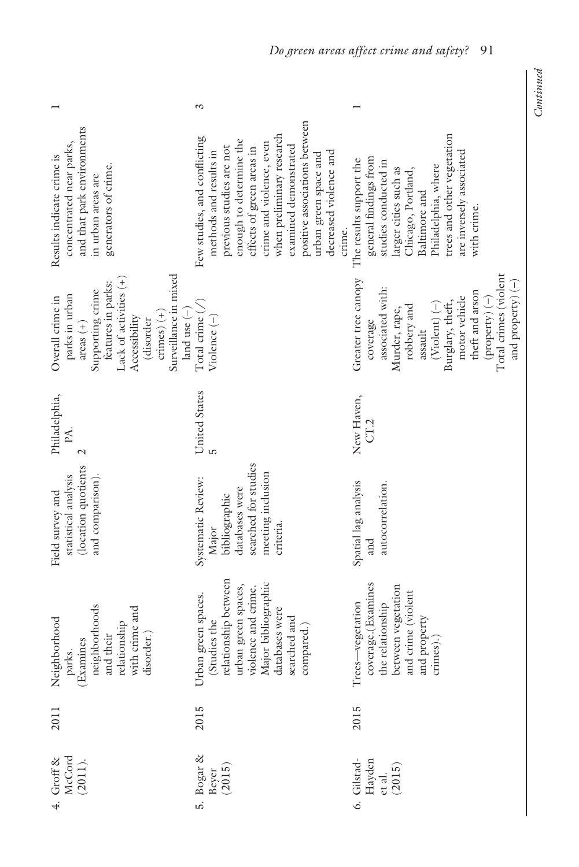|                                                                                                                                                                                                                    | S                                                                                                                                                                                                                                                                                                                          |                                                                                                                                                                                                                                                                 |
|--------------------------------------------------------------------------------------------------------------------------------------------------------------------------------------------------------------------|----------------------------------------------------------------------------------------------------------------------------------------------------------------------------------------------------------------------------------------------------------------------------------------------------------------------------|-----------------------------------------------------------------------------------------------------------------------------------------------------------------------------------------------------------------------------------------------------------------|
| and that park environments<br>concentrated near parks,<br>Results indicate crime is<br>generators of crime.<br>in urban areas are                                                                                  | positive associations between<br>when preliminary research<br>Few studies, and conflicting<br>enough to determine the<br>crime and violence, even<br>examined demonstrated<br>previous studies are not<br>effects of green areas in<br>methods and results in<br>decreased violence and<br>urban green space and<br>crime. | trees and other vegetation<br>are inversely associated<br>general findings from<br>The results support the<br>studies conducted in<br>Philadelphia, where<br>larger cities such as<br>Chicago, Portland,<br>Baltimore and<br>with crime.                        |
| Surveillance in mixed<br>Lack of activities $(+)$<br>features in parks:<br>Supporting crime<br>parks in urban<br>Overall crime in<br>land use $(-)$<br>crimes $(+)$<br>Accessibility<br>(disorder<br>$\arccos (+)$ | Total crime $(\sqrt{ } )$<br>Violence <sup>(-)</sup>                                                                                                                                                                                                                                                                       | Total crimes (violent<br>Greater tree canopy<br>and property) $(-)$<br>associated with:<br>theft and arson<br>motor vehicle<br>$(\text{property})$ (-)<br>Burglary, theft,<br>$(V\text{ident})$ (-)<br>robbery and<br>Murder, rape,<br>coverage<br>$\,$ assault |
| Philadelphia,<br>ÞA.<br>$\mathcal{L}$                                                                                                                                                                              | United States                                                                                                                                                                                                                                                                                                              | New Haven,<br>CT.2                                                                                                                                                                                                                                              |
| (location quotients<br>and comparison).<br>statistical analysis<br>Field survey and                                                                                                                                | searched for studies<br>meeting inclusion<br>Systematic Review:<br>databases were<br>bibliographic<br>criteria.<br>Major                                                                                                                                                                                                   | Spatial lag analysis<br>autocorrelation.<br>and                                                                                                                                                                                                                 |
| neighborhoods<br>with crime and<br>Neighborhood<br>relationship<br>disorder.)<br>and their<br>(Examines<br>parks.                                                                                                  | relationship between<br>Major bibliographic<br>urban green spaces,<br>violence and crime.<br>Urban green spaces.<br>databases were<br>searched and<br>(Studies the<br>compared.)                                                                                                                                           | coverage.(Examines<br>between vegetation<br>and crime (violent<br>Trees-vegetation<br>the relationship<br>and property<br>crimes).                                                                                                                              |
| 2011                                                                                                                                                                                                               | 2015                                                                                                                                                                                                                                                                                                                       | 2015                                                                                                                                                                                                                                                            |
| Groff & McCord<br>$McCard$                                                                                                                                                                                         | $\begin{array}{l} \text{Bogar\ \&} \\ \text{Beycr} \\ (2015) \end{array}$<br>.<br>G                                                                                                                                                                                                                                        | 6. Gilstad-Hayden<br>et al.<br>(2015)                                                                                                                                                                                                                           |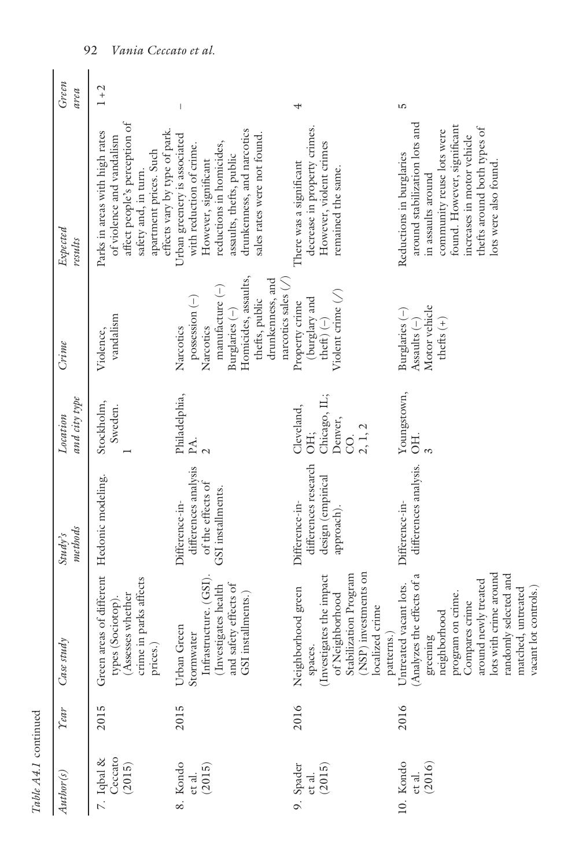| Author(s)                       | Year | Case study                                                                                                                                                                                                                                        | methods<br>Study's                                                               | and city type<br>Location                                     | $C$ rime                                                                                                                                                                         | Expected<br>results                                                                                                                                                                                                               | Green<br>area |
|---------------------------------|------|---------------------------------------------------------------------------------------------------------------------------------------------------------------------------------------------------------------------------------------------------|----------------------------------------------------------------------------------|---------------------------------------------------------------|----------------------------------------------------------------------------------------------------------------------------------------------------------------------------------|-----------------------------------------------------------------------------------------------------------------------------------------------------------------------------------------------------------------------------------|---------------|
| Ceccato<br>7. Iqbal &<br>(2015) | 2015 | Green areas of different Hedonic modeling.<br>crime in parks affects<br>(Assesses whether<br>types (Sociotop).<br>prices.)                                                                                                                        |                                                                                  | Stockholm,<br>Sweden.                                         | vandalism<br>Violence,                                                                                                                                                           | affect people's perception of<br>effects vary by type of park.<br>Parks in areas with high rates<br>of violence and vandalism<br>apartment prices. Such<br>safety and, in turn.                                                   | $1 + 2$       |
| 8. Kondo<br>(2015)<br>et al.    | 2015 | Infrastructure. (GSI)<br>and safety effects of<br>(Investigates health<br>GSI installments.)<br>Urban Green<br>Stormwater                                                                                                                         | differences analysis<br>of the effects of<br>GSI installments.<br>Difference-in- | Philadelphia,<br>PA.                                          | Homicides, assaults,<br>drunkenness, and<br>narcotics sales $\binom{1}{x}$<br>$manu facture (-)$<br>possession (-)<br>thefts, public<br>Burglaries (-)<br>Narcotics<br>Narcotics | drunkenness, and narcotics<br>Urban greenery is associated<br>sales rates were not found<br>reductions in homicides,<br>with reduction of crime.<br>assaults, thefts, public<br>However, significant                              |               |
| 9. Spader<br>(2015)<br>et al.   | 2016 | (NSP) investments on<br>(Investigates the impact<br>Stabilization Program<br>Neighborhood green<br>of Neighborhood<br>localized crime<br>patterns.)<br>spaces.                                                                                    | differences research<br>design (empirical<br>Difference-in-<br>approach).        | Chicago, IL;<br>Cleveland,<br>Denver,<br>2, 1, 2<br>OH;<br>S. | Violent crime $($ )<br>(burglary and<br>Property crime<br>theft) $(-)$                                                                                                           | decrease in property crimes<br>However, violent crimes<br>There was a significant<br>remained the same.                                                                                                                           |               |
| 10. Kondo<br>(2016)<br>et al.   | 2016 | lots with crime around<br>(Analyzes the effects of a<br>randomly selected and<br>around newly treated<br>Untreated vacant lots.<br>matched, untreated<br>vacant lot controls.)<br>program on crime.<br>Compares crime<br>neighborhood<br>greening | differences analysis.<br>Difference-in-                                          | Youngstown,<br>3H                                             | Motor vehicle<br>Burglaries (-)<br>thefts $(+)$<br>Assaults $(-)$                                                                                                                | around stabilization lots and<br>found. However, significant<br>thefts around both types of<br>community reuse lots were<br>increases in motor vehicle<br>Reductions in burglaries<br>lots were also found.<br>in assaults around | S             |

92 *Vania Ceccato et al.*

Table A4.1 continued *Table A4.1* continued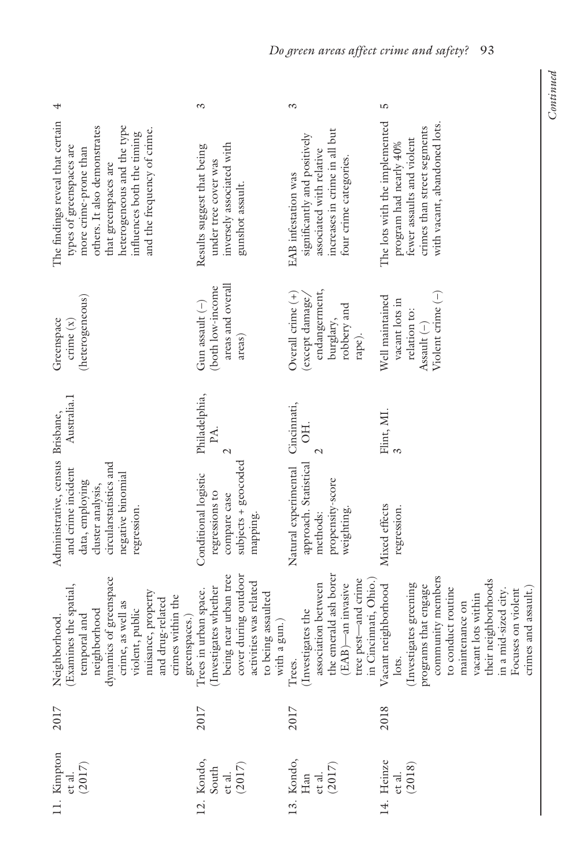| S                                                                                                                                               | S                                                                                                                                               | ഥ                                                                                                                                                                                                                                                             |
|-------------------------------------------------------------------------------------------------------------------------------------------------|-------------------------------------------------------------------------------------------------------------------------------------------------|---------------------------------------------------------------------------------------------------------------------------------------------------------------------------------------------------------------------------------------------------------------|
| inversely associated with<br>Results suggest that being<br>under tree cover was<br>gunshot assault.                                             | significantly and positively<br>associated with relative<br>four crime categories.<br>EAB infestation was                                       | The lots with the implemented<br>with vacant, abandoned lots.<br>crimes than street segments<br>fewer assaults and violent<br>program had nearly 40%                                                                                                          |
| areas and overall<br>(both low-income<br>Gun assault (-)<br>areas)                                                                              | endangerment,<br>Overall crime (+)<br>(except damage,<br>robbery and<br>burglary,<br>rape).                                                     | Violent crime (-)<br>Well maintained<br>vacant lots in<br>relation to:<br>Assault $(-)$                                                                                                                                                                       |
| Philadelphia,<br>PA.<br>$\mathcal{L}$                                                                                                           | Cincinnati,<br>OН.<br>$\mathcal{L}$                                                                                                             | Flint, MI.                                                                                                                                                                                                                                                    |
| subjects + geocoded<br>Conditional logistic<br>regressions to<br>compare case<br>mapping.                                                       | approach. Statistical<br>Natural experimental<br>propensity-score<br>weighting.<br>methods:                                                     | Mixed effects<br>regression.                                                                                                                                                                                                                                  |
| being near urban tree<br>cover during outdoor<br>activities was related<br>Trees in urban space.<br>(Investigates whether<br>to being assaulted | the emerald ash borer<br>tree pest-and crime<br>in Cincinnati, Ohio.<br>association between<br>(EAB)-an invasive<br>Trees.<br>(Investigates the | community members<br>their neighborhoods<br>(Investigates greening<br>programs that engage<br>Vacant neighborhood<br>to conduct routine<br>in a mid-sized city.<br>crimes and assault.<br>Focuses on violent<br>vacant lots within<br>maintenance on<br>lots. |
| 2017                                                                                                                                            | 2017                                                                                                                                            | 2018                                                                                                                                                                                                                                                          |
| $\overline{2}$ .                                                                                                                                |                                                                                                                                                 | 14. Heinze<br>et al.<br>(2018)                                                                                                                                                                                                                                |
|                                                                                                                                                 | greenspaces.)<br>$\begin{array}{c} \text{Kondo},\\ \text{South}\\ \text{et al}.\\ (2017) \end{array}$                                           | increases in crime in all but<br>with a gun.)<br>13. Kondo, Han et al. (2017)                                                                                                                                                                                 |

# *Do green areas affect crime and safety?* 93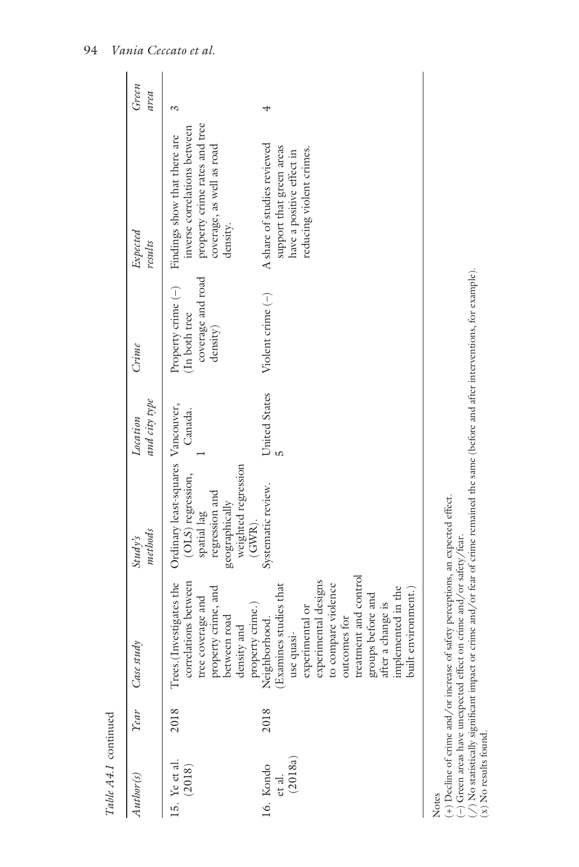| Author(s)                               | <b>Year</b> | Case study                                                                                                                                                                                                                                                                  | methods<br>Study's                                                                                                                         | and city type<br>Location | $C$ rime                                                             | Expected<br>results                                                                                                                    | Green<br>area |
|-----------------------------------------|-------------|-----------------------------------------------------------------------------------------------------------------------------------------------------------------------------------------------------------------------------------------------------------------------------|--------------------------------------------------------------------------------------------------------------------------------------------|---------------------------|----------------------------------------------------------------------|----------------------------------------------------------------------------------------------------------------------------------------|---------------|
| 15. Ye et al.<br>(2018)                 | 2018        | correlations between<br>Investigates the<br>property crime, and<br>between road<br>tree coverage and<br>density and<br>Trees.                                                                                                                                               | Ordinary least-squares Vancouver,<br>weighted regression<br>(OLS) regression,<br>regression and<br>geographically<br>spatial lag<br>(GWR). | Canada.                   | coverage and road<br>Property crime (-)<br>(In both tree<br>density) | property crime rates and tree<br>inverse correlations between<br>Findings show that there are<br>coverage, as well as road<br>density. | S,            |
| (2018a)<br>16. Kondo<br>${\it et\ al.}$ | 2018        | treatment and control<br>experimental designs<br>(Examines studies that<br>to compare violence<br>implemented in the<br>built environment.)<br>groups before and<br>after a change is<br>property crime.)<br>Neighborhood.<br>experimental or<br>outcomes for<br>use quasi- | Systematic review.                                                                                                                         | United States             | Violent crime (-)                                                    | A share of studies reviewed<br>support that green areas<br>reducing violent crimes.<br>have a positive effect in                       |               |

(+) Decline of crime and/or increase of safety perceptions, an expected effect.

(–) Green areas have unexpected effect on crime and/or safety/fear.

NOTES<br>Coline of crime and/or increase of safety perceptions, an expected effect.<br>(-) Green areas have unexpected effect on crime and/or safety/fear.<br>(/) No statistically significant impact or crime and/or fear of crime rem ( $\land$ ) No statistically significant impact or crime and/or fear of crime remained the same (before and after interventions, for example).  $(x)$  No results found.

*Table A4.1*

continued

Table A4.1 continued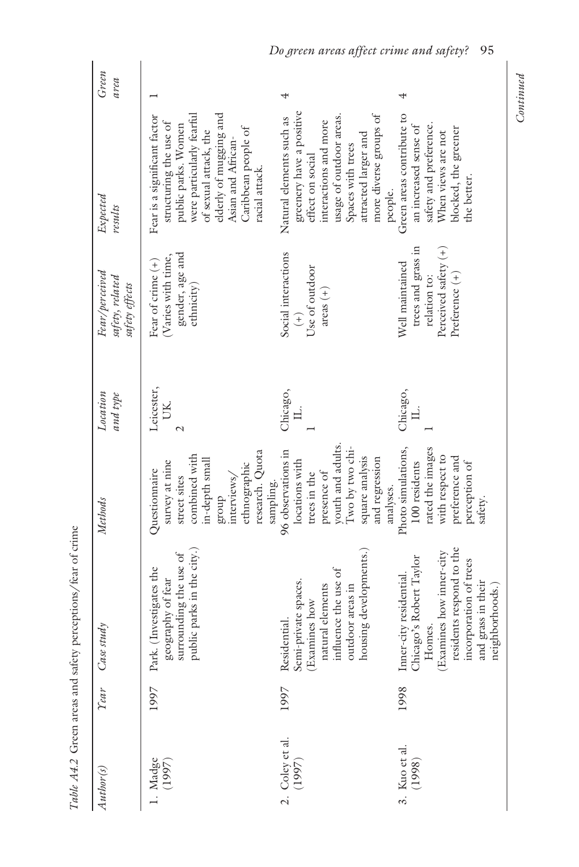| Author(s)                                                           | Year | Case study                                                                                                                                                                             | Methods                                                                                                                                                       | Location<br>and type | Fear/perceived<br>safety, related<br>safety effects                                             | Expected<br>results                                                                                                                                                                                                          | Green<br>area |
|---------------------------------------------------------------------|------|----------------------------------------------------------------------------------------------------------------------------------------------------------------------------------------|---------------------------------------------------------------------------------------------------------------------------------------------------------------|----------------------|-------------------------------------------------------------------------------------------------|------------------------------------------------------------------------------------------------------------------------------------------------------------------------------------------------------------------------------|---------------|
| 1. Madge $(1997)$                                                   | 1997 | public parks in the city.)<br>geography of fear<br>surrounding the use of<br>Park. (Investigates the                                                                                   | research. Quota<br>combined with<br>in-depth small<br>survey at nine<br>ethnographic<br>Questionnaire<br>interviews/<br>street sites<br>sampling.<br>group    | Leicester,<br>UК.    | gender, age and<br>(Varies with time,<br>Fear of crime $(+)$<br>ethnicity)                      | elderly of mugging and<br>were particularly fearful<br>Fear is a significant factor<br>structuring the use of<br>public parks. Women<br>Caribbean people of<br>of sexual attack, the<br>Asian and African-<br>racial attack. |               |
| 2. Coley et al.<br>(1997)                                           | 1997 | housing developments.)<br>natural elements<br>influence the use of<br>Semi-private spaces.<br>outdoor areas in<br>(Examines how<br>Residential.                                        | youth and adults.<br>Two by two chi-<br>96 observations in<br>square analysis<br>and regression<br>locations with<br>presence of<br>trees in the<br>analyses. | Chicago,             | Social interactions<br>Use of outdoor<br>$area (+)$<br>$\widehat{+}$                            | greenery have a positive<br>more diverse groups of<br>usage of outdoor areas.<br>Natural elements such as<br>interactions and more<br>attracted larger and<br>Spaces with trees<br>effect on social<br>people.               |               |
| $\begin{array}{c} \text{3. Kuo et al.}\\ \text{(1998)} \end{array}$ | 1998 | Chicago's Robert Taylor<br>Homes.<br>(Examines how inner-city<br>residents respond to the<br>incorporation of trees<br>Inner-city residential.<br>and grass in their<br>neighborhoods. | Photo simulations,<br>rated the images<br>with respect to<br>preference and<br>100 residents<br>perception of<br>safety.                                      | Chicago,             | Perceived safety (+)<br>trees and grass in<br>Well maintained<br>Preference (+)<br>relation to: | Green areas contribute to<br>safety and preference.<br>an increased sense of<br>blocked, the greener<br>When views are not<br>the better.                                                                                    |               |

Table A4.2 Green areas and safety perceptions/fear of crime *[Table A4.2](#page--1-0)* Green areas and safety perceptions/fear of crime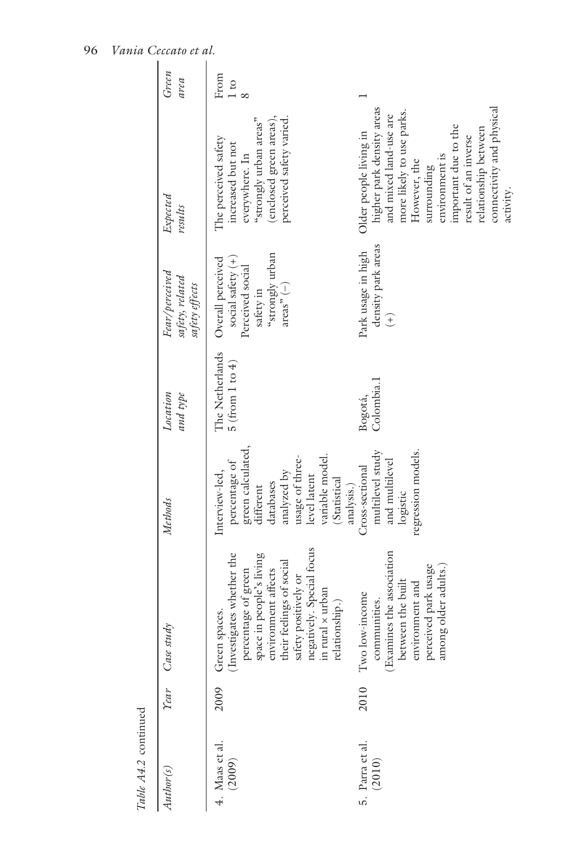| Author(s)                   | Year | Case study                                                                                                                                                                                                                                 | Methods                                                                                                                                                                           | Location<br>and type                  | Fear/perceived<br>safety, related<br>safety effects                                                            | Expected<br>results                                                                                                                                                                                                                                                           | Green<br>area |
|-----------------------------|------|--------------------------------------------------------------------------------------------------------------------------------------------------------------------------------------------------------------------------------------------|-----------------------------------------------------------------------------------------------------------------------------------------------------------------------------------|---------------------------------------|----------------------------------------------------------------------------------------------------------------|-------------------------------------------------------------------------------------------------------------------------------------------------------------------------------------------------------------------------------------------------------------------------------|---------------|
| 4. Maas et al.<br>$(2009)$  | 2009 | regatively. Special focus<br>space in people's living<br>(Investigates whether the<br>their feelings of social<br>environment affects<br>percentage of green<br>safety positively or<br>n rural x urban<br>relationship.)<br>Green spaces. | green calculated,<br>usage of three-<br>variable model.<br>percentage of<br>Interview-led,<br>analyzed by<br>level latent<br>(Statistical<br>databases<br>different<br>analysis.) | The Netherlands<br>5 (from 1 to $4$ ) | "strongly urban<br>Overall perceived<br>social safety $(+)$<br>Perceived social<br>$\arctan^p(-)$<br>safety in | (enclosed green areas),<br>"strongly urban areas"<br>perceived safety varied<br>The perceived safety<br>increased but not<br>everywhere. In                                                                                                                                   | From<br>1 to  |
| 5. Parra et al.<br>$(2010)$ | 2010 | communities.<br>(Examines the association<br>perceived park usage<br>among older adults.<br>between the built<br>environment and<br>Two low-income                                                                                         | multilevel study<br>regression models.<br>and multilevel<br>Cross-sectional<br>logistic                                                                                           | Colombia. l<br>Bogotá,                | density park areas<br>Park usage in high<br>$\widehat{+}$                                                      | connectivity and physical<br>higher park density areas<br>more likely to use parks.<br>and mixed land-use are<br>important due to the<br>relationship between<br>Older people living in<br>result of an inverse<br>environment is<br>However, the<br>surrounding<br>activity. |               |

# 96 *Vania Ceccato et al.*

Table A4.2 continued *Table A4.2* continued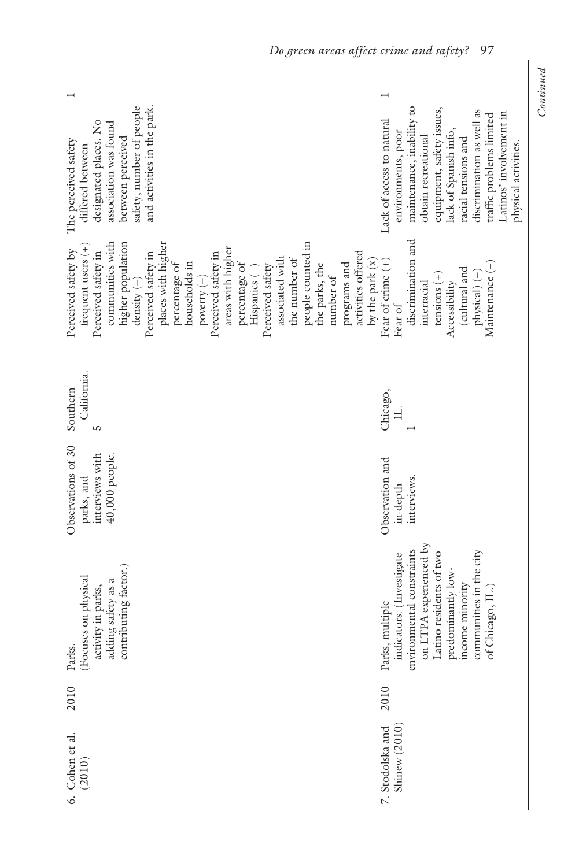| safety, number of people<br>and activities in the park.<br>designated places. No<br>association was found<br>between perceived<br>The perceived safety<br>differed between                                                                                                                                                                                                                                                                                                                                                     | maintenance, inability to<br>equipment, safety issues,<br>discrimination as well as<br>Latinos' involvement in<br>traffic problems limited<br>Lack of access to natural<br>lack of Spanish info,<br>environments, poor<br>obtain recreational<br>racial tensions and<br>ohysical activities |
|--------------------------------------------------------------------------------------------------------------------------------------------------------------------------------------------------------------------------------------------------------------------------------------------------------------------------------------------------------------------------------------------------------------------------------------------------------------------------------------------------------------------------------|---------------------------------------------------------------------------------------------------------------------------------------------------------------------------------------------------------------------------------------------------------------------------------------------|
| places with higher<br>people counted in<br>communities with<br>higher population<br>frequent users (+)<br>areas with higher<br>Perceived safety by<br>Perceived safety in<br>$\begin{array}{c} \text{density}~(-)\\ \text{Percerved safety in} \end{array}$<br>Perceived safety in<br>activities offered<br>associated with<br>the number of<br>by the park $(x)$<br>households in<br>percentage of<br>the parks, the<br>programs and<br>percentage of<br>Perceived safety<br>$His$ panics $(-)$<br>number of<br>poverty $(-)$ | discrimination and<br>Fear of crime $(+)$<br>Maintenance (-)<br>(cultural and<br>$tensions (+)$<br>physical) (-)<br>Accessibility<br>interracial<br>Fear of                                                                                                                                 |
| California.<br>Southern<br>S                                                                                                                                                                                                                                                                                                                                                                                                                                                                                                   | Chicago,<br>Ц.                                                                                                                                                                                                                                                                              |
| Observations of 30<br>interviews with<br>40,000 people.<br>parks, and                                                                                                                                                                                                                                                                                                                                                                                                                                                          | Observation and<br>interviews.<br>in-depth                                                                                                                                                                                                                                                  |
| contributing factor.)<br>Focuses on physical<br>adding safety as a<br>activity in parks,<br>Parks.                                                                                                                                                                                                                                                                                                                                                                                                                             | on LTPA experienced by<br>environmental constraints<br>communities in the city<br>Latino residents of two<br>indicators. (Investigate<br>predominantly low-<br>income minority<br>of Chicago, IL.)<br>Parks, multiple                                                                       |
| 2010                                                                                                                                                                                                                                                                                                                                                                                                                                                                                                                           | 2010                                                                                                                                                                                                                                                                                        |
| $6. \text{ Cohen et al.}$ $(2010)$                                                                                                                                                                                                                                                                                                                                                                                                                                                                                             | Shinew (2010)<br>7. Stodolska and                                                                                                                                                                                                                                                           |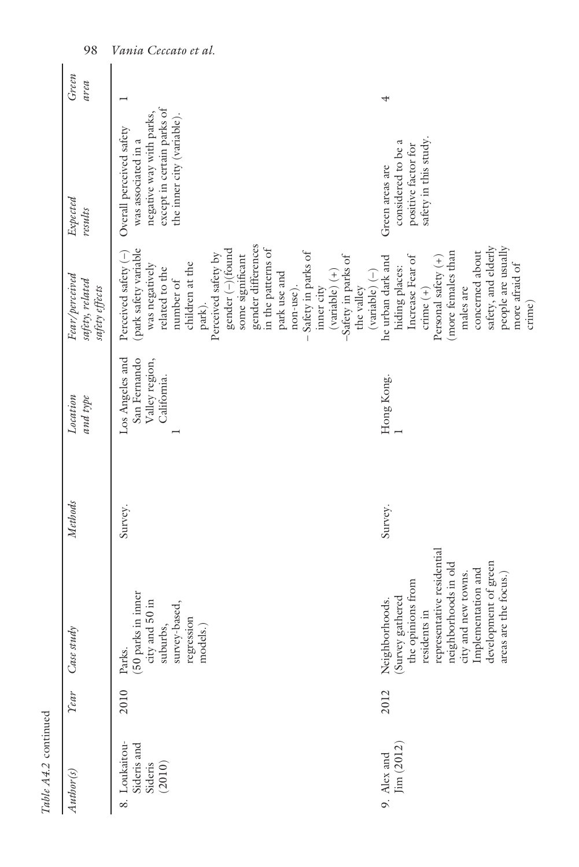| Author(s)                                         | Tear | Case study                                                                                                                                                                                                                  | Methods | Location<br>and type                                             | Fear/perceived<br>safety, related<br>safety effects                                                                                                                                                                                                                                                                                                                                            | Expected<br>results                                                                                                                     | Green<br>area |
|---------------------------------------------------|------|-----------------------------------------------------------------------------------------------------------------------------------------------------------------------------------------------------------------------------|---------|------------------------------------------------------------------|------------------------------------------------------------------------------------------------------------------------------------------------------------------------------------------------------------------------------------------------------------------------------------------------------------------------------------------------------------------------------------------------|-----------------------------------------------------------------------------------------------------------------------------------------|---------------|
| Sideris and<br>Sideris<br>(2010)<br>8. Loukaitou- | 2010 | $(50 \text{ parts in inner}$ city and $50 \text{ in}$ suburbs,<br>survey-based,<br>regression<br>models.)<br>Parks.                                                                                                         | Survey. | Los Angeles and<br>San Fernando<br>Valley region,<br>California. | gender differences<br>gender (-)(found<br>in the patterns of<br>(park safety variable<br>Perceived safety (-)<br>Safety in parks of<br>Perceived safety by<br>some significant<br>-Safety in parks of<br>children at the<br>was negatively<br>related to the<br>$\left(\mathrm{variable}\right)\left(+\right)$<br>park use and<br>number of<br>non-use).<br>the valley<br>inner city<br>park). | except in certain parks of<br>negative way with parks,<br>the inner city (variable).<br>Overall perceived safety<br>was associated in a |               |
| Jim (2012)<br>9. Alex and                         | 2012 | representative residential<br>development of green<br>neighborhoods in old<br>city and new towns.<br>Implementation and<br>areas are the focus.)<br>Neighborhoods.<br>(Survey gathered<br>the opinions from<br>residents in | Survey. | Hong Kong.                                                       | safety, and elderly<br>people are usually<br>(more females than<br>concerned about<br>Increase Fear of<br>he urban dark and<br>Personal safety (+)<br>more afraid of<br>hiding places:<br>$(variable) (-)$<br>males are<br>crime $(+)$<br>crime)                                                                                                                                               | safety in this study.<br>considered to be a<br>positive factor for<br>Green areas are                                                   |               |

98 *Vania Ceccato et al.*

*Table A4.2* continued

Table A4.2 continued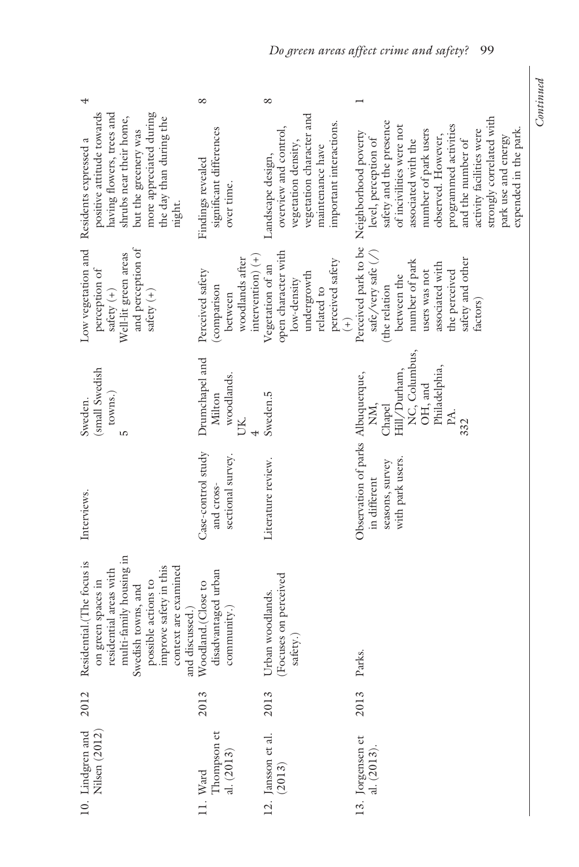|                                                                                                                                                                                                                        | ∝                                                                                    | ∞                                                                                                                                            |                                                                                                                                                                                                                                                                                                                                                     |
|------------------------------------------------------------------------------------------------------------------------------------------------------------------------------------------------------------------------|--------------------------------------------------------------------------------------|----------------------------------------------------------------------------------------------------------------------------------------------|-----------------------------------------------------------------------------------------------------------------------------------------------------------------------------------------------------------------------------------------------------------------------------------------------------------------------------------------------------|
| positive attitude towards<br>having flowers, trees and<br>shrubs near their home,<br>more appreciated during<br>the day than during the<br>but the greenery was<br>Residents expressed a<br>night.                     | significant differences<br>Findings revealed<br>over time.                           | vegetation character and<br>important interactions.<br>overview and control,<br>vegetation density,<br>maintenance have<br>Landscape design, | strongly correlated with<br>safety and the presence<br>programmed activities<br>of incivilities were not<br>number of park users<br>expended in the park.<br>activity facilities were<br>Perceived park to be Neighborhood poverty<br>observed. However,<br>park use and energy<br>level, perception of<br>and the number of<br>associated with the |
| and perception of<br>Low vegetation and<br>Well-lit green areas<br>perception of<br>safety $\left( +\right)$<br>safety $(+)$                                                                                           | intervention) $(+)$<br>woodlands after<br>Perceived safety<br>(comparison<br>between | open character with<br>perceived safety<br>Vegetation of an<br>undergrowth<br>low-density<br>related to<br>$\left( +\right)$                 | safe/very safe (/)<br>safety and other<br>number of park<br>associated with<br>users was not<br>the perceived<br>between the<br>(the relation<br>factors)                                                                                                                                                                                           |
| (small Swedish<br>towns.<br>Sweden.<br>LO                                                                                                                                                                              | Drumchapel and<br>woodlands.<br>Milton<br><b>UK</b>                                  | Sweden.5                                                                                                                                     | NC, Columbus,<br>Philadelphia,<br>Hill/Durham,<br>OH, and<br>NM,<br>Chapel<br>PA.<br>332                                                                                                                                                                                                                                                            |
| Interviews.                                                                                                                                                                                                            | Case-control study<br>sectional survey.<br>and cross-                                | Literature review.                                                                                                                           | Observation of parks Albuquerque,<br>with park users.<br>seasons, survey<br>in different                                                                                                                                                                                                                                                            |
| multi-family housing in<br>Residential.(The focus is<br>improve safety in this<br>context are examined<br>residential areas with<br>on green spaces in<br>possible actions to<br>Swedish towns, and<br>and discussed.) | disadvantaged urban<br>Woodland.(Close to<br>community.)                             | Focuses on perceived<br>Urban woodlands.<br>safety.                                                                                          | Parks.                                                                                                                                                                                                                                                                                                                                              |
| 2012                                                                                                                                                                                                                   | 2013                                                                                 | 2013                                                                                                                                         | 2013                                                                                                                                                                                                                                                                                                                                                |
| 10. Lindgren and Nilsen $(2012)$                                                                                                                                                                                       | Ward<br>Thompson et<br>al. (2013)                                                    | 12. Jansson et al.<br>$(2013)$                                                                                                               | 13. Jorgensen et al. $(2013)$ .                                                                                                                                                                                                                                                                                                                     |

# *Do green areas affect crime and safety?* 99

Continued *Continued*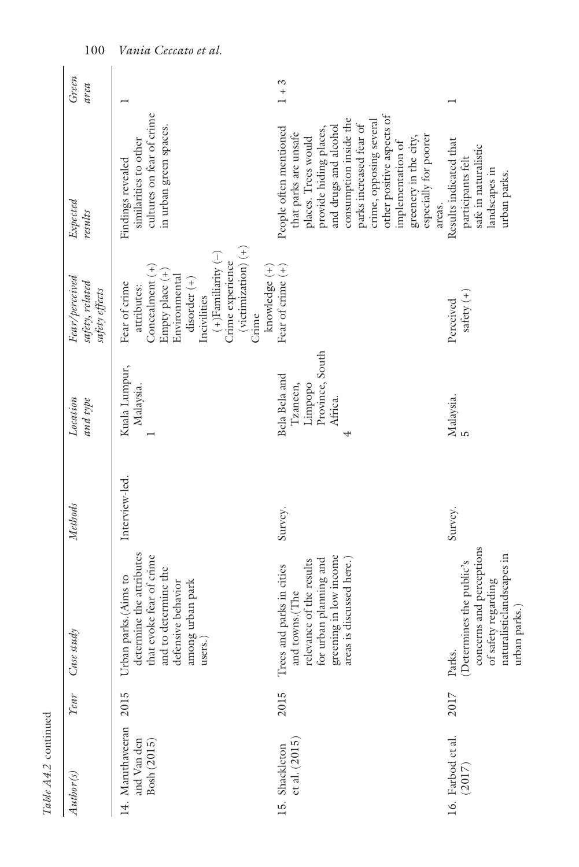| Author(s)                                       | <b>Year</b> | Case study                                                                                                                                               | Methods        | Location<br>and type                                               | Fear/perceived<br>safety, related<br>safety effects                                                                                                                                                                           | Expected<br>results                                                                                                                                                                                                                                                                                                     | Green<br>area |
|-------------------------------------------------|-------------|----------------------------------------------------------------------------------------------------------------------------------------------------------|----------------|--------------------------------------------------------------------|-------------------------------------------------------------------------------------------------------------------------------------------------------------------------------------------------------------------------------|-------------------------------------------------------------------------------------------------------------------------------------------------------------------------------------------------------------------------------------------------------------------------------------------------------------------------|---------------|
| 14. Maruthaveeran<br>and Van den<br>Bosh (2015) | 2015        | determine the attributes<br>that evoke fear of crime<br>and to determine the<br>Urban parks.(Aims to<br>defensive behavior<br>among urban park<br>users. | Interview-led. | Kuala Lumpur,<br>Malaysia.                                         | $(victinization)$ $(+)$<br>$(+)$ Familiarity $(-)$<br>Crime experience<br>$Concealment (+)$<br>knowledge $(+)$<br>Empty place (+)<br>Environmental<br>$disorder (+)$<br>Fear of crime<br>attributes:<br>Incivilities<br>Crime | cultures on fear of crime<br>in urban green spaces.<br>similarities to other<br>Findings revealed                                                                                                                                                                                                                       |               |
| ct al. (2015)<br>15. Shackleton                 | 2015        | greening in low income<br>for urban planning and<br>areas is discussed here.)<br>relevance of the results<br>Trees and parks in cities<br>and towns.(The | Survey.        | Province, South<br>Bela Bela and<br>Limpopo<br>Tzaneen,<br>Africa. | Fear of crime $(+)$                                                                                                                                                                                                           | other positive aspects of<br>consumption inside the<br>crime, opposing several<br>parks increased fear of<br>and drugs and alcohol<br>People often mentioned<br>provide hiding places,<br>that parks are unsafe<br>especially for poorer<br>greenery in the city,<br>places. Trees would<br>implementation of<br>areas. | $1 + 3$       |
| 16. Farbod et al.<br>(2017)                     | 2017        | concerns and perceptions<br>naturalisticlandscapes in<br>(Determines the public's<br>of safety regarding<br>urban parks.)<br>Parks.                      | Survey.        | Malaysia.                                                          | safety $(+)$<br>Perceived                                                                                                                                                                                                     | Results indicated that<br>safe in naturalistic<br>participants felt<br>landscapes in<br>urban parks.                                                                                                                                                                                                                    |               |

*Table A4.2* continued

Table A4.2 continued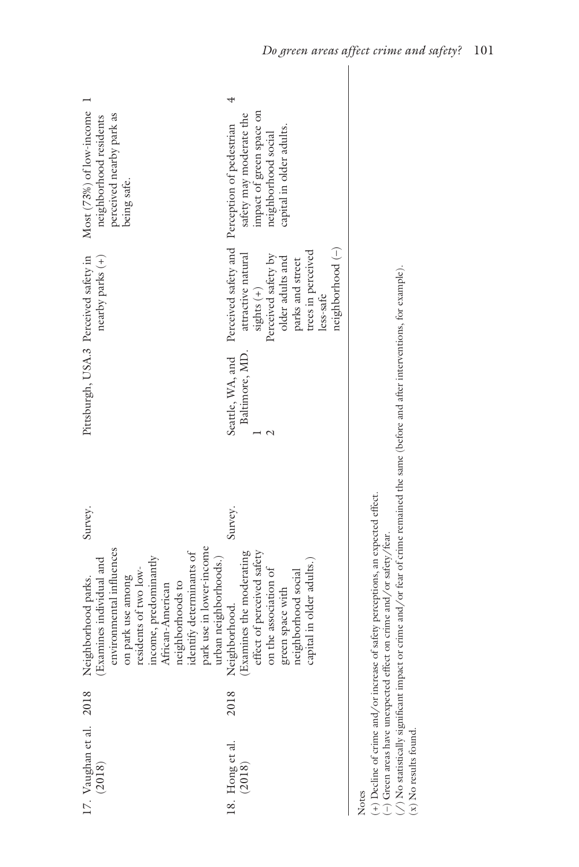| Most (73%) of low-income<br>perceived nearby park as<br>neighborhood residents<br>being safe.                                                                                                                                                                               | impact of green space on<br>safety may moderate the<br>Perceived safety and Perception of pedestrian<br>capital in older adults.<br>neighborhood social                  |
|-----------------------------------------------------------------------------------------------------------------------------------------------------------------------------------------------------------------------------------------------------------------------------|--------------------------------------------------------------------------------------------------------------------------------------------------------------------------|
| Pittsburgh, USA.3 Perceived safety in<br>nearby parks (+)                                                                                                                                                                                                                   | neighborhood (-)<br>trees in perceived<br>Perceived safety by<br>attractive natural<br>older adults and<br>parks and street<br>sights $(+)$<br>less-safe                 |
|                                                                                                                                                                                                                                                                             | Baltimore, MD.<br>Seattle, WA, and                                                                                                                                       |
| Survey.                                                                                                                                                                                                                                                                     | Survey.                                                                                                                                                                  |
| park use in lower-income<br>environmental influences<br>identify determinants of<br>income, predominantly<br>urban neighborhoods.)<br>(Examines individual and<br>residents of two low-<br>on park use among<br>Neighborhood parks.<br>neighborhoods to<br>African-American | effect of perceived safety<br>(Examines the moderating<br>capital in older adults.)<br>on the association of<br>neighborhood social<br>green space with<br>Neighborhood. |
|                                                                                                                                                                                                                                                                             | 2018                                                                                                                                                                     |
| 17. Vaughan et al. 2018<br>(2018)                                                                                                                                                                                                                                           | 18. Hong et al. $(2018)$                                                                                                                                                 |

Notes

(+) Decline of crime and/or increase of safety perceptions, an expected effect.<br>(-) Green areas have unexpected effect on crime and/or safety/fear. (+) Decline of crime and/or increase of safety perceptions, an expected effect.

(–) Green areas have unexpected effect on crime and/or safety/fear.

 $\langle$  /) No statistically significant impact or crime and/or fear of crime remained the same (before and after interventions, for example). (/) No statistically significant impact or crime and/or fear of crime remained the same (before and after interventions, for example).

 $(x)$  No results found. (x) No results found.

I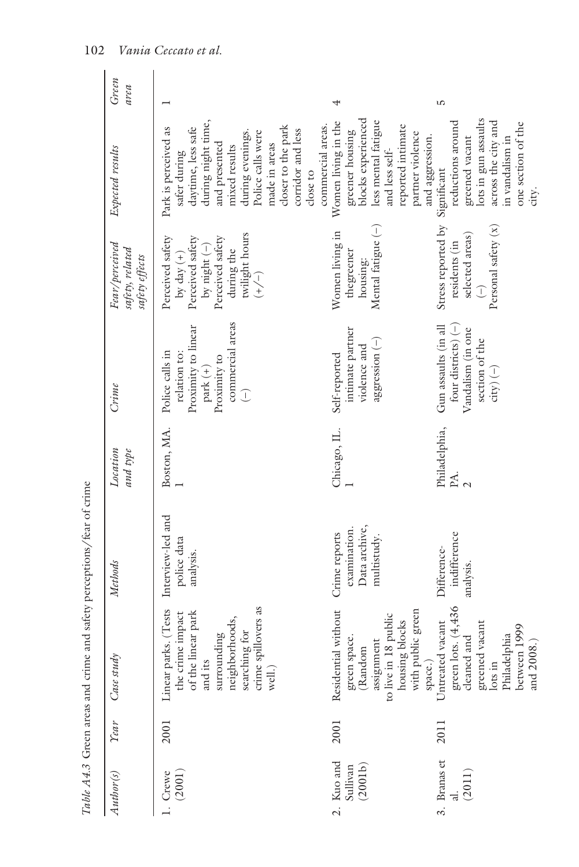| Table A4.3 Green areas and crime and safety perceptions/fear of crime<br>green lots. $(4,436)$<br>cleaned and<br>searching for<br>crime spillovers as<br>Residential without<br>Linear parks. (Tests<br>with public green<br>of the linear park<br>the crime impact<br>neighborhoods,<br>housing blocks<br>Untreated vacant<br>greened vacant<br>between 1999<br>surrounding<br>Philadelphia<br>green space.<br>assignment<br>(Random<br>Case study<br>${\rm space.})$<br>to live in 1<br>and its<br>$\log$ in<br>well.)<br><b>Year</b><br>2001<br>2001<br>2011<br>3. Branas et<br>2. Kuo and<br>(2001b)<br>Sullivan<br>(2011)<br>Author(s)<br>1. Crewe<br>(2001) | Green<br>area<br>Expected results<br>Fear/perceived<br>safety, related<br>safety effects<br>$C$ rime<br>Location<br>and type<br>Methods | during night time,<br>commercial areas.<br>closer to the park<br>daytime, less safe<br>Park is perceived as<br>corridor and less<br>Police calls were<br>during evenings.<br>and presented<br>made in areas<br>mixed results<br>safer during<br>close to<br>twilight hours<br>Perceived safety<br>Perceived safety<br>Perceived safety<br>by night $(-)$<br>during the<br>by day $(+)$<br>$\left(\begin{matrix} - \\ + \end{matrix}\right)$<br>commercial areas<br>Proximity to linear<br>Police calls in<br>relation to:<br>Proximity to<br>park $(+)$<br>$\bigcirc$<br>Boston, MA.<br>Interview-led and<br>police data<br>analysis. | 4<br>greener housing<br>blocks experienced<br>less mental fatigue<br>Women living in the<br>reported intimate<br>partner violence<br>and aggression.<br>and less self-<br>Mental fatigue $(-)$<br>Women living in<br>thegreener<br>housing:<br>intimate partner<br>aggression (-)<br>violence and<br>Self-reported<br>Chicago, IL.<br>Data archive,<br>examination.<br>Crime reports<br>multistudy. | ഥ<br>lots in gun assaults<br>reductions around<br>across the city and<br>greened vacant<br>in vandalism in<br>Significant<br>Stress reported by<br>Personal safety (x)<br>selected areas)<br>residents (in<br>$\hat{L}$<br>four districts) $(-)$<br>Gun assaults (in all<br>Vandalism (in one<br>section of the<br>$\text{city}$ ) $(-)$<br>Philadelphia,<br>PA.<br>indifference<br>Difference-<br>analysis. |
|-------------------------------------------------------------------------------------------------------------------------------------------------------------------------------------------------------------------------------------------------------------------------------------------------------------------------------------------------------------------------------------------------------------------------------------------------------------------------------------------------------------------------------------------------------------------------------------------------------------------------------------------------------------------|-----------------------------------------------------------------------------------------------------------------------------------------|---------------------------------------------------------------------------------------------------------------------------------------------------------------------------------------------------------------------------------------------------------------------------------------------------------------------------------------------------------------------------------------------------------------------------------------------------------------------------------------------------------------------------------------------------------------------------------------------------------------------------------------|-----------------------------------------------------------------------------------------------------------------------------------------------------------------------------------------------------------------------------------------------------------------------------------------------------------------------------------------------------------------------------------------------------|--------------------------------------------------------------------------------------------------------------------------------------------------------------------------------------------------------------------------------------------------------------------------------------------------------------------------------------------------------------------------------------------------------------|
|                                                                                                                                                                                                                                                                                                                                                                                                                                                                                                                                                                                                                                                                   |                                                                                                                                         |                                                                                                                                                                                                                                                                                                                                                                                                                                                                                                                                                                                                                                       | 8 public                                                                                                                                                                                                                                                                                                                                                                                            |                                                                                                                                                                                                                                                                                                                                                                                                              |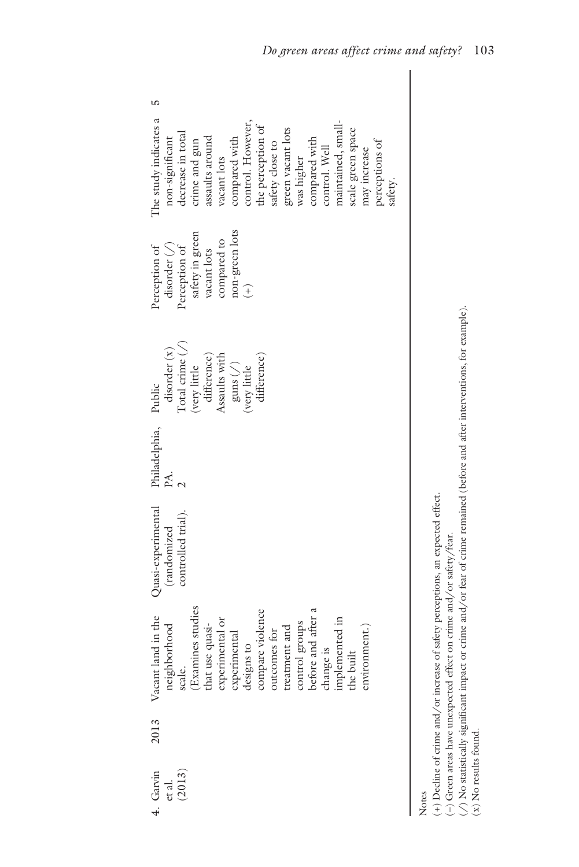| The study indicates a<br>control. However,<br>maintained, small-<br>the perception of<br>green vacant lots<br>scale green space<br>decrease in total<br>assaults around<br>compared with<br>non-significant<br>compared with<br>crime and gun<br>perceptions of<br>safety close to<br>control. Well<br>may increase<br>vacant lots<br>was higher<br>safety. |
|-------------------------------------------------------------------------------------------------------------------------------------------------------------------------------------------------------------------------------------------------------------------------------------------------------------------------------------------------------------|
| non-green lots<br>safety in green<br>compared to<br>disorder $(\bigwedge)$<br>Perception of<br>Perception of<br>vacant lots<br>$\widehat{t}$                                                                                                                                                                                                                |
| Total crime $(\bigwedge)$<br>disorder(x)<br>Assaults with<br>difference)<br>difference)<br>$\operatorname{guns}\left( \mathcal{N}\right)$<br>(very little<br>$\langle$ very little<br>Public                                                                                                                                                                |
| Philadelphia,<br>PA.                                                                                                                                                                                                                                                                                                                                        |
| Quasi-experimental<br>controlled trial).<br>(randomized                                                                                                                                                                                                                                                                                                     |
| neighborhood<br>scale.<br>Scale.<br>Txamines studies<br>that use quasi-<br>that use quasi-<br>experimental or<br>experimental<br>designs to<br>compare violence<br>compare violence<br>teraturant and<br>teraturent and<br>control groups<br>before and after a<br>before a<br>Vacant land in the                                                           |
| 2013                                                                                                                                                                                                                                                                                                                                                        |
| Garvin<br>et al.<br>(2013)                                                                                                                                                                                                                                                                                                                                  |

Notes

 $(\ast)$  Decline of crime and/or increase of safety perceptions, an expected effect. (+) Decline of crime and/or increase of safety perceptions, an expected effect.

 $(-)$  Green areas have unexpected effect on crime and/or safety/fear. (–) Green areas have unexpected effect on crime and/or safety/fear.

 $\langle$  /) No statistically significant impact or crime and/or fear of crime remained (before and after interventions, for example). ( $\angle$ ) No statistically significant impact or crime and/or fear of crime remained (before and after interventions, for example).  $(x)$  No results found. (x) No results found.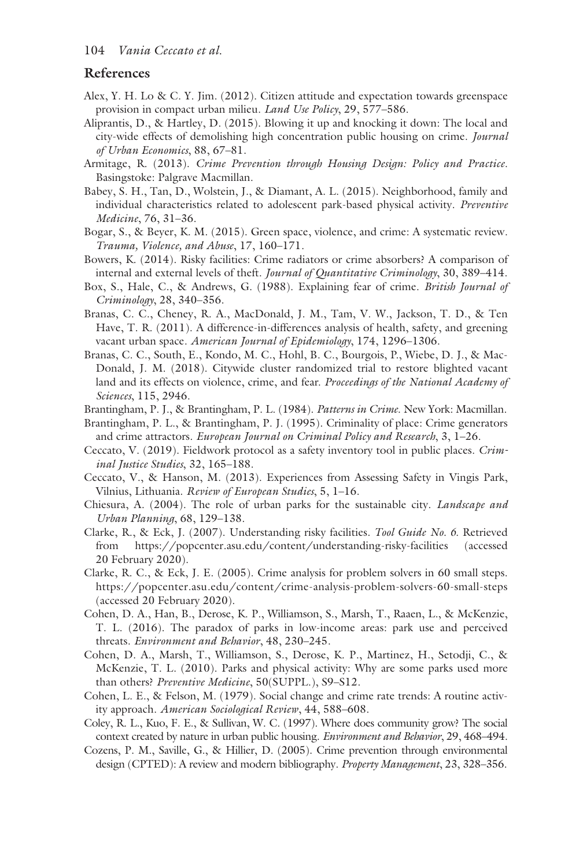# **References**

- Alex, Y. H. Lo & C. Y. Jim. (2012). Citizen attitude and expectation towards greenspace provision in compact urban milieu. *Land Use Policy*, 29, 577–586.
- Aliprantis, D., & Hartley, D. (2015). Blowing it up and knocking it down: The local and city-wide effects of demolishing high concentration public housing on crime. *Journal of Urban Economics*, 88, 67–81.
- Armitage, R. (2013). *Crime Prevention through Housing Design: Policy and Practice*. Basingstoke: Palgrave Macmillan.
- Babey, S. H., Tan, D., Wolstein, J., & Diamant, A. L. (2015). Neighborhood, family and individual characteristics related to adolescent park-based physical activity. *Preventive Medicine*, 76, 31–36.
- Bogar, S., & Beyer, K. M. (2015). Green space, violence, and crime: A systematic review. *Trauma, Violence, and Abuse*, 17, 160–171.
- Bowers, K. (2014). Risky facilities: Crime radiators or crime absorbers? A comparison of internal and external levels of theft. *Journal of Quantitative Criminology*, 30, 389–414.
- Box, S., Hale, C., & Andrews, G. (1988). Explaining fear of crime. *British Journal of Criminology*, 28, 340–356.
- Branas, C. C., Cheney, R. A., MacDonald, J. M., Tam, V. W., Jackson, T. D., & Ten Have, T. R. (2011). A difference-in-differences analysis of health, safety, and greening vacant urban space. *American Journal of Epidemiology*, 174, 1296–1306.
- Branas, C. C., South, E., Kondo, M. C., Hohl, B. C., Bourgois, P., Wiebe, D. J., & Mac-Donald, J. M. (2018). Citywide cluster randomized trial to restore blighted vacant land and its effects on violence, crime, and fear. *Proceedings of the National Academy of Sciences*, 115, 2946.
- Brantingham, P. J., & Brantingham, P. L. (1984). *Patterns in Crime*. New York: Macmillan.
- Brantingham, P. L., & Brantingham, P. J. (1995). Criminality of place: Crime generators and crime attractors. *European Journal on Criminal Policy and Research*, 3, 1–26.
- Ceccato, V. (2019). Fieldwork protocol as a safety inventory tool in public places. *Criminal Justice Studies*, 32, 165–188.
- Ceccato, V., & Hanson, M. (2013). Experiences from Assessing Safety in Vingis Park, Vilnius, Lithuania. *Review of European Studies*, 5, 1–16.
- Chiesura, A. (2004). The role of urban parks for the sustainable city. *Landscape and Urban Planning*, 68, 129–138.
- Clarke, R., & Eck, J. (2007). Understanding risky facilities. *Tool Guide No. 6*. Retrieved from [https://popcenter.asu.edu/content/understanding-risky-facilities](https://popcenter.asu.edu) (accessed 20 February 2020).
- Clarke, R. C., & Eck, J. E. (2005). Crime analysis for problem solvers in 60 small steps. [https://popcenter.asu.edu/content/crime-analysis-problem-solvers-60-small-steps](https://popcenter.asu.edu)  (accessed 20 February 2020).
- Cohen, D. A., Han, B., Derose, K. P., Williamson, S., Marsh, T., Raaen, L., & McKenzie, T. L. (2016). The paradox of parks in low-income areas: park use and perceived threats. *Environment and Behavior*, 48, 230–245.
- Cohen, D. A., Marsh, T., Williamson, S., Derose, K. P., Martinez, H., Setodji, C., & McKenzie, T. L. (2010). Parks and physical activity: Why are some parks used more than others? *Preventive Medicine*, 50(SUPPL.), S9–S12.
- Cohen, L. E., & Felson, M. (1979). Social change and crime rate trends: A routine activity approach. *American Sociological Review*, 44, 588–608.
- Coley, R. L., Kuo, F. E., & Sullivan, W. C. (1997). Where does community grow? The social context created by nature in urban public housing. *Environment and Behavior*, 29, 468–494.
- Cozens, P. M., Saville, G., & Hillier, D. (2005). Crime prevention through environmental design (CPTED): A review and modern bibliography. *Property Management*, 23, 328–356.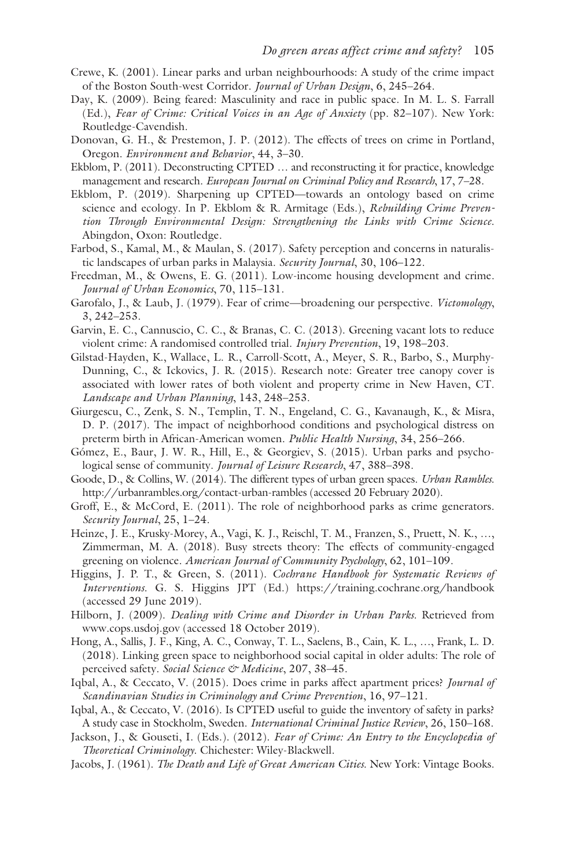- Crewe, K. (2001). Linear parks and urban neighbourhoods: A study of the crime impact of the Boston South-west Corridor. *Journal of Urban Design*, 6, 245–264.
- Day, K. (2009). Being feared: Masculinity and race in public space. In M. L. S. Farrall (Ed.), *Fear of Crime: Critical Voices in an Age of Anxiety* (pp. 82–107). New York: Routledge-Cavendish.
- Donovan, G. H., & Prestemon, J. P. (2012). The effects of trees on crime in Portland, Oregon. *Environment and Behavior*, 44, 3–30.
- Ekblom, P. (2011). Deconstructing CPTED … and reconstructing it for practice, knowledge management and research. *European Journal on Criminal Policy and Research*, 17, 7–28.
- Ekblom, P. (2019). Sharpening up CPTED—towards an ontology based on crime science and ecology. In P. Ekblom & R. Armitage (Eds.), *Rebuilding Crime Prevention Through Environmental Design: Strengthening the Links with Crime Science*. Abingdon, Oxon: Routledge.
- Farbod, S., Kamal, M., & Maulan, S. (2017). Safety perception and concerns in naturalistic landscapes of urban parks in Malaysia. *Security Journal*, 30, 106–122.
- Freedman, M., & Owens, E. G. (2011). Low-income housing development and crime. *Journal of Urban Economics*, 70, 115–131.
- Garofalo, J., & Laub, J. (1979). Fear of crime—broadening our perspective. *Victomology*, 3, 242–253.
- Garvin, E. C., Cannuscio, C. C., & Branas, C. C. (2013). Greening vacant lots to reduce violent crime: A randomised controlled trial. *Injury Prevention*, 19, 198–203.
- Gilstad-Hayden, K., Wallace, L. R., Carroll-Scott, A., Meyer, S. R., Barbo, S., Murphy-Dunning, C., & Ickovics, J. R. (2015). Research note: Greater tree canopy cover is associated with lower rates of both violent and property crime in New Haven, CT. *Landscape and Urban Planning*, 143, 248–253.
- Giurgescu, C., Zenk, S. N., Templin, T. N., Engeland, C. G., Kavanaugh, K., & Misra, D. P. (2017). The impact of neighborhood conditions and psychological distress on preterm birth in African-American women. *Public Health Nursing*, 34, 256–266.
- Gómez, E., Baur, J. W. R., Hill, E., & Georgiev, S. (2015). Urban parks and psychological sense of community. *Journal of Leisure Research*, 47, 388–398.
- Goode, D., & Collins, W. (2014). The different types of urban green spaces. *Urban Rambles*. [http://urbanrambles.org/contact-urban-rambles](http://urbanrambles.org) (accessed 20 February 2020).
- Groff, E., & McCord, E. (2011). The role of neighborhood parks as crime generators. *Security Journal*, 25, 1–24.
- Heinze, J. E., Krusky-Morey, A., Vagi, K. J., Reischl, T. M., Franzen, S., Pruett, N. K., …, Zimmerman, M. A. (2018). Busy streets theory: The effects of community-engaged greening on violence. *American Journal of Community Psychology*, 62, 101–109.
- Higgins, J. P. T., & Green, S. (2011). *Cochrane Handbook for Systematic Reviews of Interventions*. G. S. Higgins JPT (Ed.) [https://training.cochrane.org/handbook](https://training.cochrane.org)  (accessed 29 June 2019).
- Hilborn, J. (2009). *Dealing with Crime and Disorder in Urban Parks*. Retrieved from [www.cops.usdoj.gov \(](www.cops.usdoj.gov)accessed 18 October 2019).
- Hong, A., Sallis, J. F., King, A. C., Conway, T. L., Saelens, B., Cain, K. L., …, Frank, L. D. (2018). Linking green space to neighborhood social capital in older adults: The role of perceived safety. *Social Science & Medicine*, 207, 38–45.
- Iqbal, A., & Ceccato, V. (2015). Does crime in parks affect apartment prices? *Journal of Scandinavian Studies in Criminology and Crime Prevention*, 16, 97–121.
- Iqbal, A., & Ceccato, V. (2016). Is CPTED useful to guide the inventory of safety in parks? A study case in Stockholm, Sweden. *International Criminal Justice Review*, 26, 150–168.
- Jackson, J., & Gouseti, I. (Eds.). (2012). *Fear of Crime: An Entry to the Encyclopedia of Theoretical Criminology*. Chichester: Wiley-Blackwell.
- Jacobs, J. (1961). *The Death and Life of Great American Cities*. New York: Vintage Books.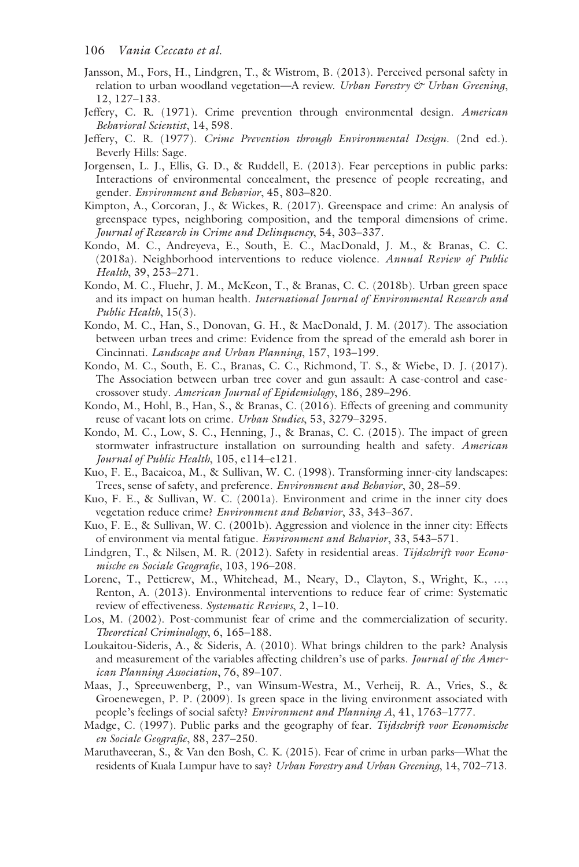- Jansson, M., Fors, H., Lindgren, T., & Wistrom, B. (2013). Perceived personal safety in relation to urban woodland vegetation—A review. *Urban Forestry & Urban Greening*, 12, 127–133.
- Jeffery, C. R. (1971). Crime prevention through environmental design. *American Behavioral Scientist*, 14, 598.
- Jeffery, C. R. (1977). *Crime Prevention through Environmental Design*. (2nd ed.). Beverly Hills: Sage.
- Jorgensen, L. J., Ellis, G. D., & Ruddell, E. (2013). Fear perceptions in public parks: Interactions of environmental concealment, the presence of people recreating, and gender. *Environment and Behavior*, 45, 803–820.
- Kimpton, A., Corcoran, J., & Wickes, R. (2017). Greenspace and crime: An analysis of greenspace types, neighboring composition, and the temporal dimensions of crime. *Journal of Research in Crime and Delinquency*, 54, 303–337.
- Kondo, M. C., Andreyeva, E., South, E. C., MacDonald, J. M., & Branas, C. C. (2018a). Neighborhood interventions to reduce violence. *Annual Review of Public Health*, 39, 253–271.
- Kondo, M. C., Fluehr, J. M., McKeon, T., & Branas, C. C. (2018b). Urban green space and its impact on human health. *International Journal of Environmental Research and Public Health*, 15(3).
- Kondo, M. C., Han, S., Donovan, G. H., & MacDonald, J. M. (2017). The association between urban trees and crime: Evidence from the spread of the emerald ash borer in Cincinnati. *Landscape and Urban Planning*, 157, 193–199.
- Kondo, M. C., South, E. C., Branas, C. C., Richmond, T. S., & Wiebe, D. J. (2017). The Association between urban tree cover and gun assault: A case-control and casecrossover study. *American Journal of Epidemiology*, 186, 289–296.
- Kondo, M., Hohl, B., Han, S., & Branas, C. (2016). Effects of greening and community reuse of vacant lots on crime. *Urban Studies*, 53, 3279–3295.
- Kondo, M. C., Low, S. C., Henning, J., & Branas, C. C. (2015). The impact of green stormwater infrastructure installation on surrounding health and safety. *American Journal of Public Health*, 105, e114–e121.
- Kuo, F. E., Bacaicoa, M., & Sullivan, W. C. (1998). Transforming inner-city landscapes: Trees, sense of safety, and preference. *Environment and Behavior*, 30, 28–59.
- Kuo, F. E., & Sullivan, W. C. (2001a). Environment and crime in the inner city does vegetation reduce crime? *Environment and Behavior*, 33, 343–367.
- Kuo, F. E., & Sullivan, W. C. (2001b). Aggression and violence in the inner city: Effects of environment via mental fatigue. *Environment and Behavior*, 33, 543–571.
- Lindgren, T., & Nilsen, M. R. (2012). Safety in residential areas. *Tijdschrift voor Economische en Sociale Geografie*, 103, 196–208.
- Lorenc, T., Petticrew, M., Whitehead, M., Neary, D., Clayton, S., Wright, K., …, Renton, A. (2013). Environmental interventions to reduce fear of crime: Systematic review of effectiveness. *Systematic Reviews*, 2, 1–10.
- Los, M. (2002). Post-communist fear of crime and the commercialization of security. *Theoretical Criminology*, 6, 165–188.
- Loukaitou-Sideris, A., & Sideris, A. (2010). What brings children to the park? Analysis and measurement of the variables affecting children's use of parks. *Journal of the American Planning Association*, 76, 89–107.
- Maas, J., Spreeuwenberg, P., van Winsum-Westra, M., Verheij, R. A., Vries, S., & Groenewegen, P. P. (2009). Is green space in the living environment associated with people's feelings of social safety? *Environment and Planning A*, 41, 1763–1777.
- Madge, C. (1997). Public parks and the geography of fear. *Tijdschrift voor Economische en Sociale Geografie*, 88, 237–250.
- Maruthaveeran, S., & Van den Bosh, C. K. (2015). Fear of crime in urban parks—What the residents of Kuala Lumpur have to say? *Urban Forestry and Urban Greening*, 14, 702–713.